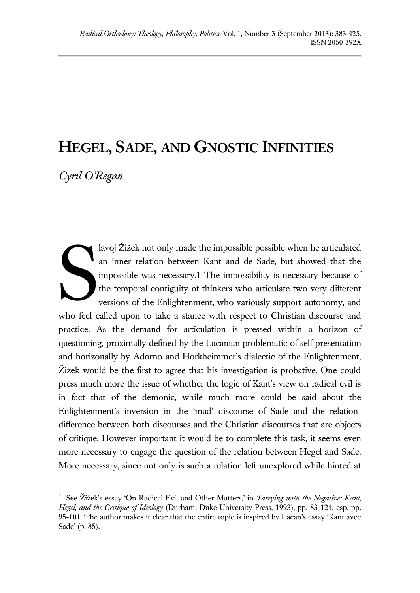# **HEGEL, SADE, AND GNOSTIC INFINITIES**

*Cyril O'Regan*

 $\overline{a}$ 

lavoj Žižek not only made the impossible possible when he articulated an inner relation between Kant and de Sade, but showed that the impossible was necessary.1 The impossibility is necessary because of the temporal contiguity of thinkers who articulate two very different versions of the Enlightenment, who variously support autonomy, and who feel called upon to take a stance with respect to Christian discourse and practice. As the demand for articulation is pressed within a horizon of questioning, proximally defined by the Lacanian problematic of self-presentation and horizonally by Adorno and Horkheimmer's dialectic of the Enlightenment, Žižek would be the first to agree that his investigation is probative. One could press much more the issue of whether the logic of Kant's view on radical evil is in fact that of the demonic, while much more could be said about the Enlightenment's inversion in the 'mad' discourse of Sade and the relationdifference between both discourses and the Christian discourses that are objects of critique. However important it would be to complete this task, it seems even more necessary to engage the question of the relation between Hegel and Sade. More necessary, since not only is such a relation left unexplored while hinted at S

<sup>1</sup> See Žižek's essay 'On Radical Evil and Other Matters,' in *Tarrying with the Negative: Kant, Hegel, and the Critique of Ideology* (Durham: Duke University Press, 1993), pp. 83-124, esp. pp. 95-101. The author makes it clear that the entire topic is inspired by Lacan's essay 'Kant avec Sade' (p. 85).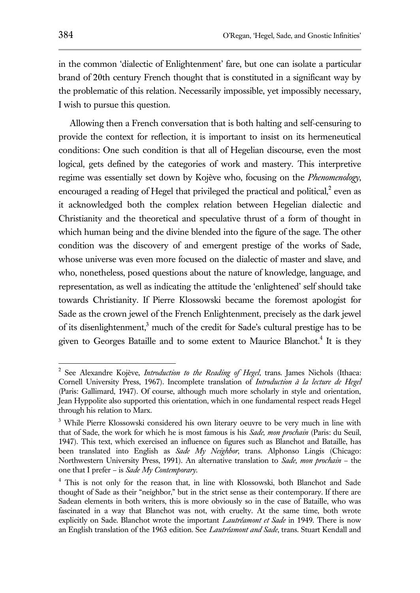in the common 'dialectic of Enlightenment' fare, but one can isolate a particular brand of 20th century French thought that is constituted in a significant way by the problematic of this relation. Necessarily impossible, yet impossibly necessary, I wish to pursue this question.

Allowing then a French conversation that is both halting and self-censuring to provide the context for reflection, it is important to insist on its hermeneutical conditions: One such condition is that all of Hegelian discourse, even the most logical, gets defined by the categories of work and mastery. This interpretive regime was essentially set down by Kojève who, focusing on the *Phenomenology*, encouraged a reading of Hegel that privileged the practical and political, $2$  even as it acknowledged both the complex relation between Hegelian dialectic and Christianity and the theoretical and speculative thrust of a form of thought in which human being and the divine blended into the figure of the sage. The other condition was the discovery of and emergent prestige of the works of Sade, whose universe was even more focused on the dialectic of master and slave, and who, nonetheless, posed questions about the nature of knowledge, language, and representation, as well as indicating the attitude the 'enlightened' self should take towards Christianity. If Pierre Klossowski became the foremost apologist for Sade as the crown jewel of the French Enlightenment, precisely as the dark jewel of its disenlightenment,<sup>3</sup> much of the credit for Sade's cultural prestige has to be given to Georges Bataille and to some extent to Maurice Blanchot.<sup>4</sup> It is they

<sup>2</sup> See Alexandre Kojève, *Introduction to the Reading of Hegel*, trans. James Nichols (Ithaca: Cornell University Press, 1967). Incomplete translation of *Introduction à la lecture de Hegel* (Paris: Gallimard, 1947). Of course, although much more scholarly in style and orientation, Jean Hyppolite also supported this orientation, which in one fundamental respect reads Hegel through his relation to Marx.

<sup>&</sup>lt;sup>3</sup> While Pierre Klossowski considered his own literary oeuvre to be very much in line with that of Sade, the work for which he is most famous is his *Sade, mon prochain* (Paris: du Seuil, 1947). This text, which exercised an influence on figures such as Blanchot and Bataille, has been translated into English as *Sade My Neighbor*, trans. Alphonso Lingis (Chicago: Northwestern University Press, 1991). An alternative translation to *Sade, mon prochain* – the one that I prefer – is *Sade My Contemporary*.

<sup>4</sup> This is not only for the reason that, in line with Klossowski, both Blanchot and Sade thought of Sade as their "neighbor," but in the strict sense as their contemporary. If there are Sadean elements in both writers, this is more obviously so in the case of Bataille, who was fascinated in a way that Blanchot was not, with cruelty. At the same time, both wrote explicitly on Sade. Blanchot wrote the important *Lautréamont et Sade* in 1949. There is now an English translation of the 1963 edition. See *Lautréamont and Sade*, trans. Stuart Kendall and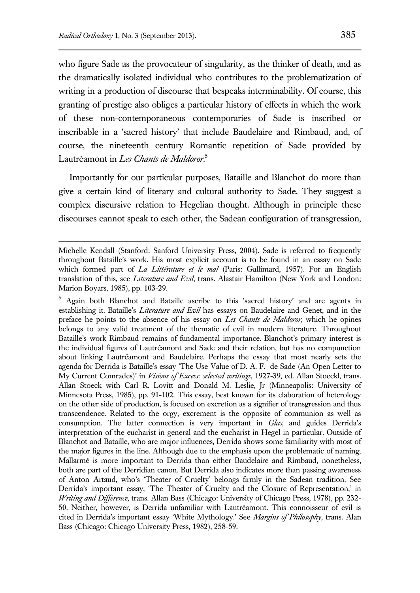who figure Sade as the provocateur of singularity, as the thinker of death, and as the dramatically isolated individual who contributes to the problematization of writing in a production of discourse that bespeaks interminability. Of course, this granting of prestige also obliges a particular history of effects in which the work of these non-contemporaneous contemporaries of Sade is inscribed or inscribable in a 'sacred history' that include Baudelaire and Rimbaud, and, of course, the nineteenth century Romantic repetition of Sade provided by Lautréamont in *Les Chants de Maldoror*. 5

Importantly for our particular purposes, Bataille and Blanchot do more than give a certain kind of literary and cultural authority to Sade. They suggest a complex discursive relation to Hegelian thought. Although in principle these discourses cannot speak to each other, the Sadean configuration of transgression,

<sup>5</sup> Again both Blanchot and Bataille ascribe to this 'sacred history' and are agents in establishing it. Bataille's *Literature and Evil* has essays on Baudelaire and Genet, and in the preface he points to the absence of his essay on *Les Chants de Maldoror*, which he opines belongs to any valid treatment of the thematic of evil in modern literature. Throughout Bataille's work Rimbaud remains of fundamental importance. Blanchot's primary interest is the individual figures of Lautréamont and Sade and their relation, but has no compunction about linking Lautréamont and Baudelaire. Perhaps the essay that most nearly sets the agenda for Derrida is Bataille's essay 'The Use-Value of D. A. F. de Sade (An Open Letter to My Current Comrades)' in *Visions of Excess: selected writings*, 1927-39, ed. Allan Stoeckl, trans. Allan Stoeck with Carl R. Lovitt and Donald M. Leslie, Jr (Minneapolis: University of Minnesota Press, 1985), pp. 91-102. This essay, best known for its elaboration of heterology on the other side of production, is focused on excretion as a signifier of transgression and thus transcendence. Related to the orgy, excrement is the opposite of communion as well as consumption. The latter connection is very important in *Glas*, and guides Derrida's interpretation of the eucharist in general and the eucharist in Hegel in particular. Outside of Blanchot and Bataille, who are major influences, Derrida shows some familiarity with most of the major figures in the line. Although due to the emphasis upon the problematic of naming, Mallarmé is more important to Derrida than either Baudelaire and Rimbaud, nonetheless, both are part of the Derridian canon. But Derrida also indicates more than passing awareness of Anton Artaud, who's 'Theater of Cruelty' belongs firmly in the Sadean tradition. See Derrida's important essay, 'The Theater of Cruelty and the Closure of Representation,' in *Writing and Difference*, trans. Allan Bass (Chicago: University of Chicago Press, 1978), pp. 232- 50. Neither, however, is Derrida unfamiliar with Lautréamont. This connoisseur of evil is cited in Derrida's important essay 'White Mythology.' See *Margins of Philosophy*, trans. Alan Bass (Chicago: Chicago University Press, 1982), 258-59.

Michelle Kendall (Stanford: Sanford University Press, 2004). Sade is referred to frequently throughout Bataille's work. His most explicit account is to be found in an essay on Sade which formed part of *La Littérature et le mal* (Paris: Gallimard, 1957). For an English translation of this, see *Literature and Evil*, trans. Alastair Hamilton (New York and London: Marion Boyars, 1985), pp. 103-29.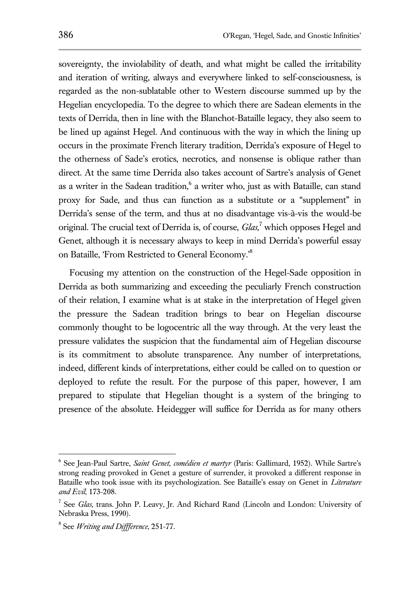sovereignty, the inviolability of death, and what might be called the irritability and iteration of writing, always and everywhere linked to self-consciousness, is regarded as the non-sublatable other to Western discourse summed up by the Hegelian encyclopedia. To the degree to which there are Sadean elements in the texts of Derrida, then in line with the Blanchot-Bataille legacy, they also seem to be lined up against Hegel. And continuous with the way in which the lining up occurs in the proximate French literary tradition, Derrida's exposure of Hegel to the otherness of Sade's erotics, necrotics, and nonsense is oblique rather than direct. At the same time Derrida also takes account of Sartre's analysis of Genet as a writer in the Sadean tradition, $6$  a writer who, just as with Bataille, can stand proxy for Sade, and thus can function as a substitute or a "supplement" in Derrida's sense of the term, and thus at no disadvantage vis-à-vis the would-be original. The crucial text of Derrida is, of course, *Glas,*<sup>7</sup> which opposes Hegel and Genet, although it is necessary always to keep in mind Derrida's powerful essay on Bataille, 'From Restricted to General Economy.'<sup>8</sup>

Focusing my attention on the construction of the Hegel-Sade opposition in Derrida as both summarizing and exceeding the peculiarly French construction of their relation, I examine what is at stake in the interpretation of Hegel given the pressure the Sadean tradition brings to bear on Hegelian discourse commonly thought to be logocentric all the way through. At the very least the pressure validates the suspicion that the fundamental aim of Hegelian discourse is its commitment to absolute transparence. Any number of interpretations, indeed, different kinds of interpretations, either could be called on to question or deployed to refute the result. For the purpose of this paper, however, I am prepared to stipulate that Hegelian thought is a system of the bringing to presence of the absolute. Heidegger will suffice for Derrida as for many others

<sup>6</sup> See Jean-Paul Sartre, *Saint Genet, comédien et martyr* (Paris: Gallimard, 1952). While Sartre's strong reading provoked in Genet a gesture of surrender, it provoked a different response in Bataille who took issue with its psychologization. See Bataille's essay on Genet in *Literature and Evil*, 173-208.

<sup>7</sup> See *Glas,* trans. John P. Leavy, Jr. And Richard Rand (Lincoln and London: University of Nebraska Press, 1990).

<sup>8</sup> See *Writing and Diffference*, 251-77.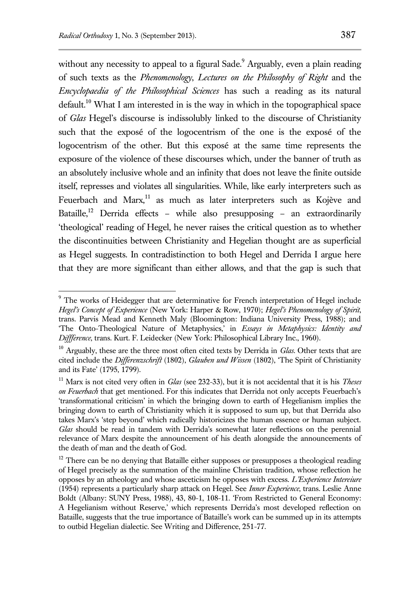without any necessity to appeal to a figural Sade.<sup>9</sup> Arguably, even a plain reading of such texts as the *Phenomenology*, *Lectures on the Philosophy of Right* and the *Encyclopaedia of the Philosophical Sciences* has such a reading as its natural default.<sup>10</sup> What I am interested in is the way in which in the topographical space of *Glas* Hegel's discourse is indissolubly linked to the discourse of Christianity such that the exposé of the logocentrism of the one is the exposé of the logocentrism of the other. But this exposé at the same time represents the exposure of the violence of these discourses which, under the banner of truth as an absolutely inclusive whole and an infinity that does not leave the finite outside itself, represses and violates all singularities. While, like early interpreters such as Feuerbach and Marx,<sup>11</sup> as much as later interpreters such as Kojève and Bataille,<sup>12</sup> Derrida effects – while also presupposing – an extraordinarily 'theological' reading of Hegel, he never raises the critical question as to whether the discontinuities between Christianity and Hegelian thought are as superficial as Hegel suggests. In contradistinction to both Hegel and Derrida I argue here that they are more significant than either allows, and that the gap is such that

<sup>&</sup>lt;sup>9</sup> The works of Heidegger that are determinative for French interpretation of Hegel include *Hegel's Concept of Experience* (New York: Harper & Row, 1970); *Hegel's Phenomenology of Spirit*, trans. Parvis Mead and Kenneth Maly (Bloomington: Indiana University Press, 1988); and 'The Onto-Theological Nature of Metaphysics,' in *Essays in Metaphysics: Identity and Diffference*, trans. Kurt. F. Leidecker (New York: Philosophical Library Inc., 1960).

<sup>10</sup> Arguably, these are the three most often cited texts by Derrida in *Glas*. Other texts that are cited include the *Differenzschrift* (1802), *Glauben und Wissen* (1802), 'The Spirit of Christianity and its Fate' (1795, 1799).

<sup>11</sup> Marx is not cited very often in *Glas* (see 232-33), but it is not accidental that it is his *Theses on Feuerbach* that get mentioned. For this indicates that Derrida not only accepts Feuerbach's 'transformational criticism' in which the bringing down to earth of Hegelianism implies the bringing down to earth of Christianity which it is supposed to sum up, but that Derrida also takes Marx's 'step beyond' which radically historicizes the human essence or human subject. *Glas* should be read in tandem with Derrida's somewhat later reflections on the perennial relevance of Marx despite the announcement of his death alongside the announcements of the death of man and the death of God.

 $12$  There can be no denying that Bataille either supposes or presupposes a theological reading of Hegel precisely as the summation of the mainline Christian tradition, whose reflection he opposes by an atheology and whose asceticism he opposes with excess. *L'Experience Intereiure*  (1954) represents a particularly sharp attack on Hegel. See *Inner Experience*, trans. Leslie Anne Boldt (Albany: SUNY Press, 1988), 43, 80-1, 108-11. 'From Restricted to General Economy: A Hegelianism without Reserve,' which represents Derrida's most developed reflection on Bataille, suggests that the true importance of Bataille's work can be summed up in its attempts to outbid Hegelian dialectic. See Writing and Difference, 251-77.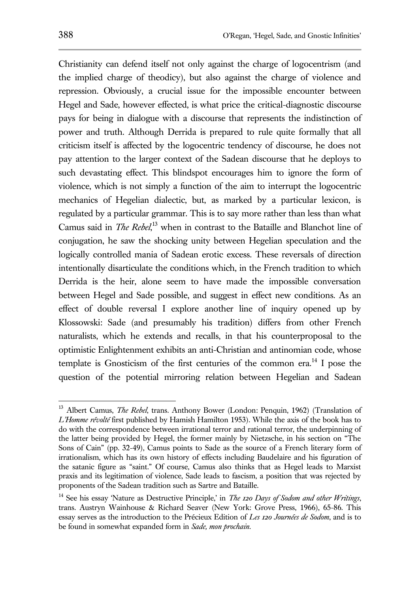Christianity can defend itself not only against the charge of logocentrism (and the implied charge of theodicy), but also against the charge of violence and repression. Obviously, a crucial issue for the impossible encounter between Hegel and Sade, however effected, is what price the critical-diagnostic discourse pays for being in dialogue with a discourse that represents the indistinction of power and truth. Although Derrida is prepared to rule quite formally that all criticism itself is affected by the logocentric tendency of discourse, he does not pay attention to the larger context of the Sadean discourse that he deploys to such devastating effect. This blindspot encourages him to ignore the form of violence, which is not simply a function of the aim to interrupt the logocentric mechanics of Hegelian dialectic, but, as marked by a particular lexicon, is regulated by a particular grammar. This is to say more rather than less than what Camus said in *The Rebel*, <sup>13</sup> when in contrast to the Bataille and Blanchot line of conjugation, he saw the shocking unity between Hegelian speculation and the logically controlled mania of Sadean erotic excess. These reversals of direction intentionally disarticulate the conditions which, in the French tradition to which

Derrida is the heir, alone seem to have made the impossible conversation between Hegel and Sade possible, and suggest in effect new conditions. As an effect of double reversal I explore another line of inquiry opened up by Klossowski: Sade (and presumably his tradition) differs from other French naturalists, which he extends and recalls, in that his counterproposal to the optimistic Enlightenment exhibits an anti-Christian and antinomian code, whose template is Gnosticism of the first centuries of the common era.<sup>14</sup> I pose the question of the potential mirroring relation between Hegelian and Sadean

 <sup>13</sup> Albert Camus, *The Rebel*, trans. Anthony Bower (London: Penquin, 1962) (Translation of *L'Homme révolté* first published by Hamish Hamilton 1953). While the axis of the book has to do with the correspondence between irrational terror and rational terror, the underpinning of the latter being provided by Hegel, the former mainly by Nietzsche, in his section on "The Sons of Cain" (pp. 32-49), Camus points to Sade as the source of a French literary form of irrationalism, which has its own history of effects including Baudelaire and his figuration of the satanic figure as "saint." Of course, Camus also thinks that as Hegel leads to Marxist praxis and its legitimation of violence, Sade leads to fascism, a position that was rejected by proponents of the Sadean tradition such as Sartre and Bataille.

<sup>14</sup> See his essay 'Nature as Destructive Principle,' in *The 120 Days of Sodom and other Writings*, trans. Austryn Wainhouse & Richard Seaver (New York: Grove Press, 1966), 65-86. This essay serves as the introduction to the Précieux Edition of *Les 120 Journées de Sodom*, and is to be found in somewhat expanded form in *Sade, mon prochain.*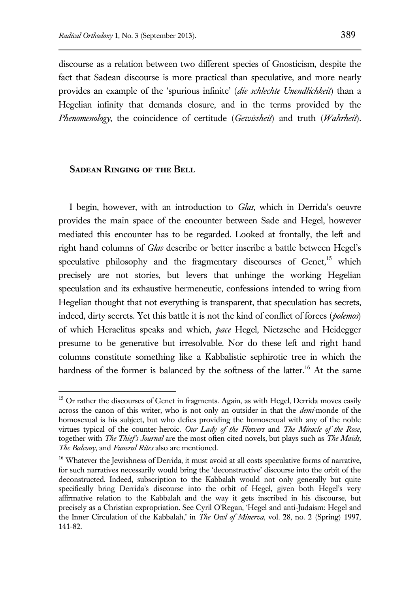discourse as a relation between two different species of Gnosticism, despite the fact that Sadean discourse is more practical than speculative, and more nearly provides an example of the 'spurious infinite' (*die schlechte Unendlichkeit*) than a Hegelian infinity that demands closure, and in the terms provided by the *Phenomenology*, the coincidence of certitude (*Gewissheit*) and truth (*Wahrheit*).

#### **Sadean Ringing of the Bell**

 $\overline{a}$ 

I begin, however, with an introduction to *Glas*, which in Derrida's oeuvre provides the main space of the encounter between Sade and Hegel, however mediated this encounter has to be regarded. Looked at frontally, the left and right hand columns of *Glas* describe or better inscribe a battle between Hegel's speculative philosophy and the fragmentary discourses of  $Genet<sub>15</sub>$  which precisely are not stories, but levers that unhinge the working Hegelian speculation and its exhaustive hermeneutic, confessions intended to wring from Hegelian thought that not everything is transparent, that speculation has secrets, indeed, dirty secrets. Yet this battle it is not the kind of conflict of forces (*polemos*) of which Heraclitus speaks and which, *pace* Hegel, Nietzsche and Heidegger presume to be generative but irresolvable. Nor do these left and right hand columns constitute something like a Kabbalistic sephirotic tree in which the hardness of the former is balanced by the softness of the latter.<sup>16</sup> At the same

<sup>&</sup>lt;sup>15</sup> Or rather the discourses of Genet in fragments. Again, as with Hegel, Derrida moves easily across the canon of this writer, who is not only an outsider in that the *demi-*monde of the homosexual is his subject, but who defies providing the homosexual with any of the noble virtues typical of the counter-heroic. *Our Lady of the Flowers* and *The Miracle of the Rose*, together with *The Thief's Journal* are the most often cited novels, but plays such as *The Maids, The Balcony*, and *Funeral Rites* also are mentioned.

<sup>&</sup>lt;sup>16</sup> Whatever the Jewishness of Derrida, it must avoid at all costs speculative forms of narrative, for such narratives necessarily would bring the 'deconstructive' discourse into the orbit of the deconstructed. Indeed, subscription to the Kabbalah would not only generally but quite specifically bring Derrida's discourse into the orbit of Hegel, given both Hegel's very affirmative relation to the Kabbalah and the way it gets inscribed in his discourse, but precisely as a Christian expropriation. See Cyril O'Regan, 'Hegel and anti-Judaism: Hegel and the Inner Circulation of the Kabbalah,' in *The Owl of Minerva*, vol. 28, no. 2 (Spring) 1997, 141-82.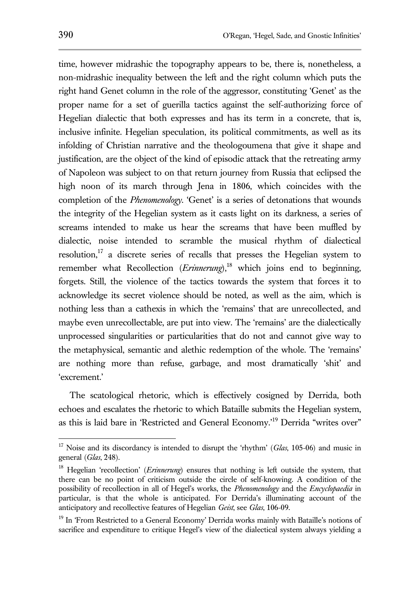time, however midrashic the topography appears to be, there is, nonetheless, a non-midrashic inequality between the left and the right column which puts the right hand Genet column in the role of the aggressor, constituting 'Genet' as the proper name for a set of guerilla tactics against the self-authorizing force of Hegelian dialectic that both expresses and has its term in a concrete, that is, inclusive infinite. Hegelian speculation, its political commitments, as well as its infolding of Christian narrative and the theologoumena that give it shape and justification, are the object of the kind of episodic attack that the retreating army of Napoleon was subject to on that return journey from Russia that eclipsed the high noon of its march through Jena in 1806, which coincides with the completion of the *Phenomenology*. 'Genet' is a series of detonations that wounds the integrity of the Hegelian system as it casts light on its darkness, a series of screams intended to make us hear the screams that have been muffled by dialectic, noise intended to scramble the musical rhythm of dialectical resolution,<sup>17</sup> a discrete series of recalls that presses the Hegelian system to remember what Recollection  $(Erinnerung)$ ,<sup>18</sup> which joins end to beginning, forgets. Still, the violence of the tactics towards the system that forces it to acknowledge its secret violence should be noted, as well as the aim, which is nothing less than a cathexis in which the 'remains' that are unrecollected, and maybe even unrecollectable, are put into view. The 'remains' are the dialectically unprocessed singularities or particularities that do not and cannot give way to the metaphysical, semantic and alethic redemption of the whole. The 'remains' are nothing more than refuse, garbage, and most dramatically 'shit' and 'excrement.'

The scatological rhetoric, which is effectively cosigned by Derrida, both echoes and escalates the rhetoric to which Bataille submits the Hegelian system, as this is laid bare in 'Restricted and General Economy.'<sup>19</sup> Derrida "writes over"

<sup>&</sup>lt;sup>17</sup> Noise and its discordancy is intended to disrupt the 'rhythm' (*Glas*, 105-06) and music in general (*Glas*, 248).

<sup>18</sup> Hegelian 'recollection' (*Erinnerung*) ensures that nothing is left outside the system, that there can be no point of criticism outside the circle of self-knowing. A condition of the possibility of recollection in all of Hegel's works, the *Phenomenology* and the *Encyclopaedia* in particular, is that the whole is anticipated. For Derrida's illuminating account of the anticipatory and recollective features of Hegelian *Geist*, see *Glas*, 106-09.

<sup>&</sup>lt;sup>19</sup> In 'From Restricted to a General Economy' Derrida works mainly with Bataille's notions of sacrifice and expenditure to critique Hegel's view of the dialectical system always yielding a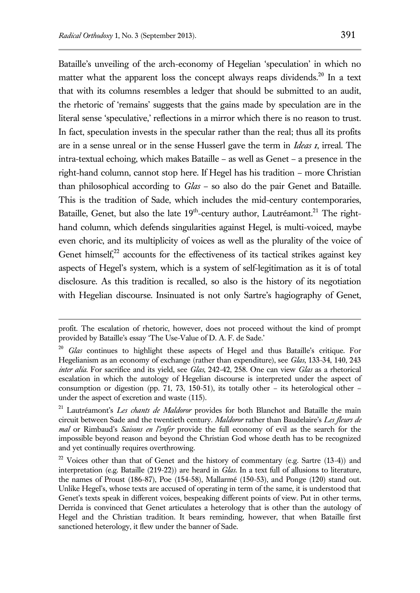Bataille's unveiling of the arch-economy of Hegelian 'speculation' in which no matter what the apparent loss the concept always reaps dividends.<sup>20</sup> In a text that with its columns resembles a ledger that should be submitted to an audit, the rhetoric of 'remains' suggests that the gains made by speculation are in the literal sense 'speculative,' reflections in a mirror which there is no reason to trust. In fact, speculation invests in the specular rather than the real; thus all its profits are in a sense unreal or in the sense Husserl gave the term in *Ideas 1*, irreal. The intra-textual echoing, which makes Bataille – as well as Genet – a presence in the right-hand column, cannot stop here. If Hegel has his tradition – more Christian than philosophical according to *Glas* – so also do the pair Genet and Bataille. This is the tradition of Sade, which includes the mid-century contemporaries, Bataille, Genet, but also the late 19<sup>th</sup>-century author, Lautréamont.<sup>21</sup> The righthand column, which defends singularities against Hegel, is multi-voiced, maybe even choric, and its multiplicity of voices as well as the plurality of the voice of Genet himself, $22$  accounts for the effectiveness of its tactical strikes against key aspects of Hegel's system, which is a system of self-legitimation as it is of total disclosure. As this tradition is recalled, so also is the history of its negotiation with Hegelian discourse. Insinuated is not only Sartre's hagiography of Genet,

profit. The escalation of rhetoric, however, does not proceed without the kind of prompt provided by Bataille's essay 'The Use-Value of D. A. F. de Sade.'

<sup>20</sup> *Glas* continues to highlight these aspects of Hegel and thus Bataille's critique. For Hegelianism as an economy of exchange (rather than expenditure), see *Glas*, 133-34, 140, 243 *inter alia*. For sacrifice and its yield, see *Glas*, 242-42, 258. One can view *Glas* as a rhetorical escalation in which the autology of Hegelian discourse is interpreted under the aspect of consumption or digestion (pp. 71, 73, 150-51), its totally other – its heterological other – under the aspect of excretion and waste (115).

<sup>21</sup> Lautréamont's *Les chants de Maldoror* provides for both Blanchot and Bataille the main circuit between Sade and the twentieth century. *Maldoror* rather than Baudelaire's *Les fleurs de mal* or Rimbaud's *Saisons en l'enfer* provide the full economy of evil as the search for the impossible beyond reason and beyond the Christian God whose death has to be recognized and yet continually requires overthrowing.

 $22$  Voices other than that of Genet and the history of commentary (e.g. Sartre (13-4)) and interpretation (e.g. Bataille (219-22)) are heard in *Glas*. In a text full of allusions to literature, the names of Proust (186-87), Poe (154-58), Mallarmé (150-53), and Ponge (120) stand out. Unlike Hegel's, whose texts are accused of operating in term of the same, it is understood that Genet's texts speak in different voices, bespeaking different points of view. Put in other terms, Derrida is convinced that Genet articulates a heterology that is other than the autology of Hegel and the Christian tradition. It bears reminding, however, that when Bataille first sanctioned heterology, it flew under the banner of Sade.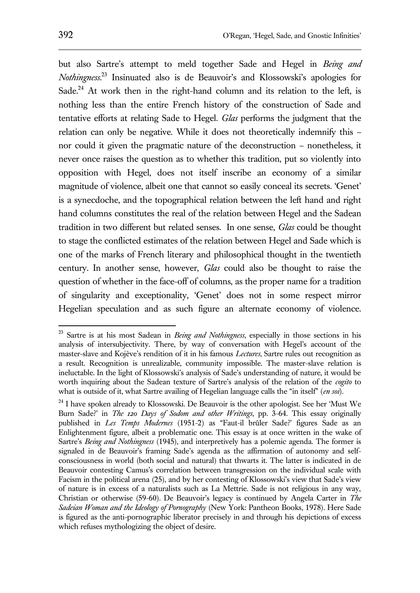but also Sartre's attempt to meld together Sade and Hegel in *Being and Nothingness*. <sup>23</sup> Insinuated also is de Beauvoir's and Klossowski's apologies for Sade.<sup>24</sup> At work then in the right-hand column and its relation to the left, is nothing less than the entire French history of the construction of Sade and tentative efforts at relating Sade to Hegel. *Glas* performs the judgment that the relation can only be negative. While it does not theoretically indemnify this – nor could it given the pragmatic nature of the deconstruction – nonetheless, it never once raises the question as to whether this tradition, put so violently into opposition with Hegel, does not itself inscribe an economy of a similar magnitude of violence, albeit one that cannot so easily conceal its secrets. 'Genet' is a synecdoche, and the topographical relation between the left hand and right hand columns constitutes the real of the relation between Hegel and the Sadean tradition in two different but related senses. In one sense, *Glas* could be thought to stage the conflicted estimates of the relation between Hegel and Sade which is one of the marks of French literary and philosophical thought in the twentieth century. In another sense, however, *Glas* could also be thought to raise the question of whether in the face-off of columns, as the proper name for a tradition of singularity and exceptionality, 'Genet' does not in some respect mirror Hegelian speculation and as such figure an alternate economy of violence.

<sup>23</sup> Sartre is at his most Sadean in *Being and Nothingness*, especially in those sections in his analysis of intersubjectivity. There, by way of conversation with Hegel's account of the master-slave and Kojève's rendition of it in his famous *Lectures*, Sartre rules out recognition as a result. Recognition is unrealizable, community impossible. The master-slave relation is ineluctable. In the light of Klossowski's analysis of Sade's understanding of nature, it would be worth inquiring about the Sadean texture of Sartre's analysis of the relation of the *cogito* to what is outside of it, what Sartre availing of Hegelian language calls the "in itself" (*en soi*).

<sup>&</sup>lt;sup>24</sup> I have spoken already to Klossowski. De Beauvoir is the other apologist. See her 'Must We Burn Sade?' in *The 120 Days of Sodom and other Writings*, pp. 3-64. This essay originally published in *Les Temps Modernes* (1951-2) as "Faut-il brûler Sade?' figures Sade as an Enlightenment figure, albeit a problematic one. This essay is at once written in the wake of Sartre's *Being and Nothingness* (1945), and interpretively has a polemic agenda. The former is signaled in de Beauvoir's framing Sade's agenda as the affirmation of autonomy and selfconsciousness in world (both social and natural) that thwarts it. The latter is indicated in de Beauvoir contesting Camus's correlation between transgression on the individual scale with Facism in the political arena (25), and by her contesting of Klossowski's view that Sade's view of nature is in excess of a naturalists such as La Mettrie. Sade is not religious in any way, Christian or otherwise (59-60). De Beauvoir's legacy is continued by Angela Carter in *The Sadeian Woman and the Ideology of Pornography* (New York: Pantheon Books, 1978). Here Sade is figured as the anti-pornographic liberator precisely in and through his depictions of excess which refuses mythologizing the object of desire.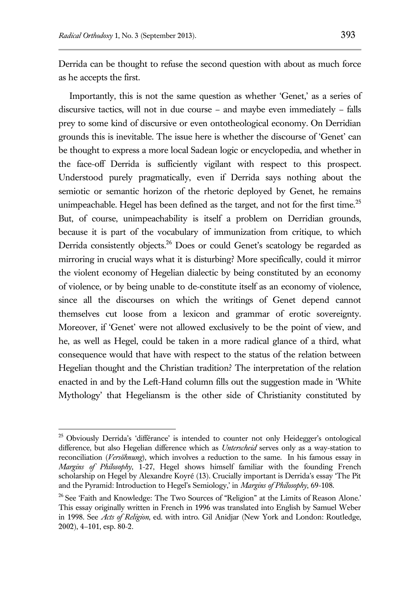Derrida can be thought to refuse the second question with about as much force as he accepts the first.

Importantly, this is not the same question as whether 'Genet,' as a series of discursive tactics, will not in due course – and maybe even immediately – falls prey to some kind of discursive or even ontotheological economy. On Derridian grounds this is inevitable. The issue here is whether the discourse of 'Genet' can be thought to express a more local Sadean logic or encyclopedia, and whether in the face-off Derrida is sufficiently vigilant with respect to this prospect. Understood purely pragmatically, even if Derrida says nothing about the semiotic or semantic horizon of the rhetoric deployed by Genet, he remains unimpeachable. Hegel has been defined as the target, and not for the first time.<sup>25</sup> But, of course, unimpeachability is itself a problem on Derridian grounds, because it is part of the vocabulary of immunization from critique, to which Derrida consistently objects.<sup>26</sup> Does or could Genet's scatology be regarded as mirroring in crucial ways what it is disturbing? More specifically, could it mirror the violent economy of Hegelian dialectic by being constituted by an economy of violence, or by being unable to de-constitute itself as an economy of violence, since all the discourses on which the writings of Genet depend cannot themselves cut loose from a lexicon and grammar of erotic sovereignty. Moreover, if 'Genet' were not allowed exclusively to be the point of view, and he, as well as Hegel, could be taken in a more radical glance of a third, what consequence would that have with respect to the status of the relation between Hegelian thought and the Christian tradition? The interpretation of the relation enacted in and by the Left-Hand column fills out the suggestion made in 'White Mythology' that Hegeliansm is the other side of Christianity constituted by

<sup>&</sup>lt;sup>25</sup> Obviously Derrida's 'différance' is intended to counter not only Heidegger's ontological difference, but also Hegelian difference which as *Unterscheid* serves only as a way-station to reconciliation (*Versöhnung*), which involves a reduction to the same. In his famous essay in *Margins of Philosophy*, 1-27, Hegel shows himself familiar with the founding French scholarship on Hegel by Alexandre Koyré (13). Crucially important is Derrida's essay 'The Pit and the Pyramid: Introduction to Hegel's Semiology,' in *Margins of Philosophy*, 69-108.

<sup>&</sup>lt;sup>26</sup> See 'Faith and Knowledge: The Two Sources of "Religion" at the Limits of Reason Alone.' This essay originally written in French in 1996 was translated into English by Samuel Weber in 1998. See *Acts of Religion*, ed. with intro. Gil Anidjar (New York and London: Routledge, 2002), 4–101, esp. 80-2.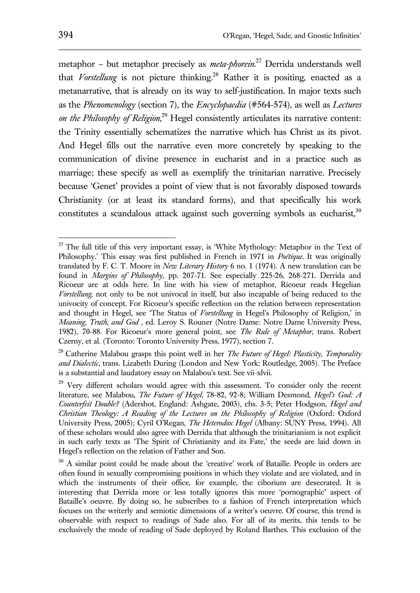metaphor – but metaphor precisely as *meta-phorein*. <sup>27</sup> Derrida understands well that *Vorstellung* is not picture thinking.<sup>28</sup> Rather it is positing, enacted as a metanarrative, that is already on its way to self-justification. In major texts such as the *Phenomenology* (section 7), the *Encyclopaedia* (#564-574), as well as *Lectures on the Philosophy of Religion*, <sup>29</sup> Hegel consistently articulates its narrative content: the Trinity essentially schematizes the narrative which has Christ as its pivot. And Hegel fills out the narrative even more concretely by speaking to the communication of divine presence in eucharist and in a practice such as marriage; these specify as well as exemplify the trinitarian narrative. Precisely because 'Genet' provides a point of view that is not favorably disposed towards Christianity (or at least its standard forms), and that specifically his work constitutes a scandalous attack against such governing symbols as eucharist, $30$ 

 $2<sup>27</sup>$  The full title of this very important essay, is 'White Mythology: Metaphor in the Text of Philosophy.' This essay was first published in French in 1971 in *Poétique.* It was originally translated by F. C. T. Moore in *New Literary History* 6 no. 1 (1974). A new translation can be found in *Margins of Philosophy*, pp. 207-71. See especially 225-26, 268-271. Derrida and Ricoeur are at odds here. In line with his view of metaphor, Ricoeur reads Hegelian *Vorstellung,* not only to be not univocal in itself, but also incapable of being reduced to the univocity of concept. For Ricoeur's specific reflection on the relation between representation and thought in Hegel, see 'The Status of *Vorstellung* in Hegel's Philosophy of Religion,' in *Meaning, Truth, and God* , ed. Leroy S. Rouner (Notre Dame: Notre Dame University Press, 1982), 70-88. For Ricoeur's more general point, see *The Rule of Metaphor*, trans. Robert Czerny, et al. (Toronto: Toronto University Press, 1977), section 7.

<sup>28</sup> Catherine Malabou grasps this point well in her *The Future of Hegel: Plasticity, Temporality and Dialectic*, trans. Lizabeth During (London and New York: Routledge, 2005). The Preface is a substantial and laudatory essay on Malabou's text. See vii-xlvii.

<sup>&</sup>lt;sup>29</sup> Very different scholars would agree with this assessment. To consider only the recent literature, see Malabou, *The Future of Hegel*, 78-82, 92-8; William Desmond, *Hegel's God: A Counterfeit Double?* (Adershot, England: Ashgate, 2003), chs. 3-5; Peter Hodgson, *Hegel and Christian Theology: A Reading of the Lectures on the Philosophy of Religion* (Oxford: Oxford University Press, 2005); Cyril O'Regan, *The Heterodox Hegel* (Albany: SUNY Press, 1994). All of these scholars would also agree with Derrida that although the trinitarianism is not explicit in such early texts as 'The Spirit of Christianity and its Fate,' the seeds are laid down in Hegel's reflection on the relation of Father and Son.

<sup>&</sup>lt;sup>30</sup> A similar point could be made about the 'creative' work of Bataille. People in orders are often found in sexually compromising positions in which they violate and are violated, and in which the instruments of their office, for example, the ciborium are desecrated. It is interesting that Derrida more or less totally ignores this more 'pornographic' aspect of Bataille's oeuvre. By doing so, he subscribes to a fashion of French interpretation which focuses on the writerly and semiotic dimensions of a writer's oeuvre. Of course, this trend is observable with respect to readings of Sade also. For all of its merits, this tends to be exclusively the mode of reading of Sade deployed by Roland Barthes. This exclusion of the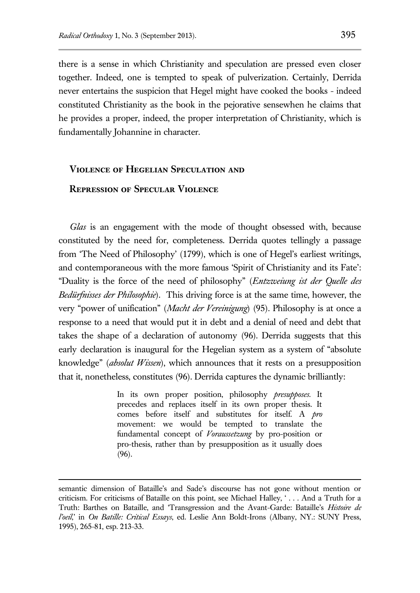there is a sense in which Christianity and speculation are pressed even closer together. Indeed, one is tempted to speak of pulverization. Certainly, Derrida never entertains the suspicion that Hegel might have cooked the books - indeed constituted Christianity as the book in the pejorative sensewhen he claims that he provides a proper, indeed, the proper interpretation of Christianity, which is fundamentally Johannine in character.

### **Violence of Hegelian Speculation and**

# **Repression of Specular Violence**

 $\overline{a}$ 

*Glas* is an engagement with the mode of thought obsessed with, because constituted by the need for, completeness. Derrida quotes tellingly a passage from 'The Need of Philosophy' (1799), which is one of Hegel's earliest writings, and contemporaneous with the more famous 'Spirit of Christianity and its Fate': "Duality is the force of the need of philosophy" (*Entzweiung ist der Quelle des Bedürfnisses der Philosophie*). This driving force is at the same time, however, the very "power of unification" (*Macht der Vereinigung*) (95). Philosophy is at once a response to a need that would put it in debt and a denial of need and debt that takes the shape of a declaration of autonomy (96). Derrida suggests that this early declaration is inaugural for the Hegelian system as a system of "absolute knowledge" (*absolut Wissen*), which announces that it rests on a presupposition that it, nonetheless, constitutes (96). Derrida captures the dynamic brilliantly:

> In its own proper position, philosophy *presupposes*. It precedes and replaces itself in its own proper thesis. It comes before itself and substitutes for itself. A *pro* movement: we would be tempted to translate the fundamental concept of *Voraussetzung* by pro-position or pro-thesis, rather than by presupposition as it usually does (96).

semantic dimension of Bataille's and Sade's discourse has not gone without mention or criticism. For criticisms of Bataille on this point, see Michael Halley, ' . . . And a Truth for a Truth: Barthes on Bataille, and 'Transgression and the Avant-Garde: Bataille's *Histoire de l'oeil*,' in *On Batille: Critical Essays*, ed. Leslie Ann Boldt-Irons (Albany, NY.: SUNY Press, 1995), 265-81, esp. 213-33.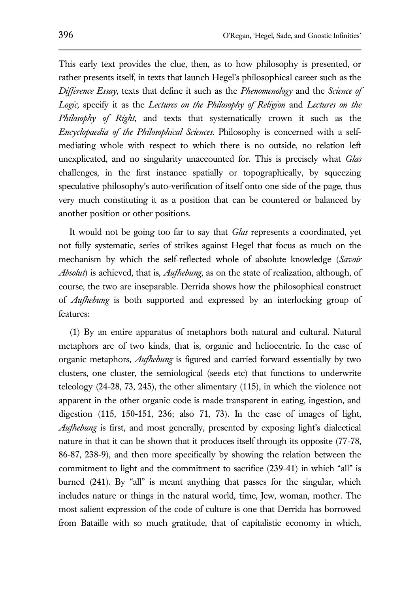This early text provides the clue, then, as to how philosophy is presented, or rather presents itself, in texts that launch Hegel's philosophical career such as the *Difference Essay*, texts that define it such as the *Phenomenology* and the *Science of Logic,* specify it as the *Lectures on the Philosophy of Religion* and *Lectures on the Philosophy of Right*, and texts that systematically crown it such as the *Encyclopaedia of the Philosophical Sciences*. Philosophy is concerned with a selfmediating whole with respect to which there is no outside, no relation left unexplicated, and no singularity unaccounted for. This is precisely what *Glas*  challenges, in the first instance spatially or topographically, by squeezing speculative philosophy's auto-verification of itself onto one side of the page, thus very much constituting it as a position that can be countered or balanced by another position or other positions.

It would not be going too far to say that *Glas* represents a coordinated, yet not fully systematic, series of strikes against Hegel that focus as much on the mechanism by which the self-reflected whole of absolute knowledge (*Savoir Absolut*) is achieved, that is, *Aufhebung*, as on the state of realization, although, of course, the two are inseparable. Derrida shows how the philosophical construct of *Aufhebung* is both supported and expressed by an interlocking group of features:

(1) By an entire apparatus of metaphors both natural and cultural. Natural metaphors are of two kinds, that is, organic and heliocentric. In the case of organic metaphors, *Aufhebung* is figured and carried forward essentially by two clusters, one cluster, the semiological (seeds etc) that functions to underwrite teleology (24-28, 73, 245), the other alimentary (115), in which the violence not apparent in the other organic code is made transparent in eating, ingestion, and digestion (115, 150-151, 236; also 71, 73). In the case of images of light, *Aufhebung* is first, and most generally, presented by exposing light's dialectical nature in that it can be shown that it produces itself through its opposite (77-78, 86-87, 238-9), and then more specifically by showing the relation between the commitment to light and the commitment to sacrifice (239-41) in which "all" is burned (241). By "all" is meant anything that passes for the singular, which includes nature or things in the natural world, time, Jew, woman, mother. The most salient expression of the code of culture is one that Derrida has borrowed from Bataille with so much gratitude, that of capitalistic economy in which,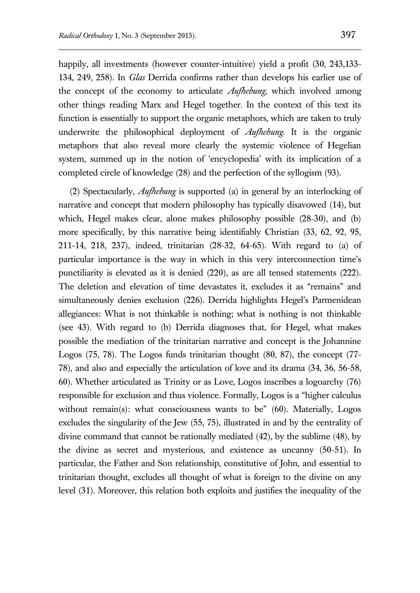happily, all investments (however counter-intuitive) yield a profit (30, 243,133-134, 249, 258). In *Glas* Derrida confirms rather than develops his earlier use of the concept of the economy to articulate *Aufhebung*, which involved among other things reading Marx and Hegel together. In the context of this text its function is essentially to support the organic metaphors, which are taken to truly underwrite the philosophical deployment of *Aufhebung*. It is the organic metaphors that also reveal more clearly the systemic violence of Hegelian system, summed up in the notion of 'encyclopedia' with its implication of a completed circle of knowledge (28) and the perfection of the syllogism (93).

(2) Spectacularly, *Aufhebung* is supported (a) in general by an interlocking of narrative and concept that modern philosophy has typically disavowed (14), but which, Hegel makes clear, alone makes philosophy possible (28-30), and (b) more specifically, by this narrative being identifiably Christian (33, 62, 92, 95, 211-14, 218, 237), indeed, trinitarian (28-32, 64-65). With regard to (a) of particular importance is the way in which in this very interconnection time's punctiliarity is elevated as it is denied (220), as are all tensed statements (222). The deletion and elevation of time devastates it, excludes it as "remains" and simultaneously denies exclusion (226). Derrida highlights Hegel's Parmenidean allegiances: What is not thinkable is nothing; what is nothing is not thinkable (see 43). With regard to (b) Derrida diagnoses that, for Hegel, what makes possible the mediation of the trinitarian narrative and concept is the Johannine Logos (75, 78). The Logos funds trinitarian thought (80, 87), the concept (77- 78), and also and especially the articulation of love and its drama (34, 36, 56-58, 60). Whether articulated as Trinity or as Love, Logos inscribes a logoarchy (76) responsible for exclusion and thus violence. Formally, Logos is a "higher calculus without remain(s): what consciousness wants to be"  $(60)$ . Materially, Logos excludes the singularity of the Jew (55, 75), illustrated in and by the centrality of divine command that cannot be rationally mediated (42), by the sublime (48), by the divine as secret and mysterious, and existence as uncanny (50-51). In particular, the Father and Son relationship, constitutive of John, and essential to trinitarian thought, excludes all thought of what is foreign to the divine on any level (31). Moreover, this relation both exploits and justifies the inequality of the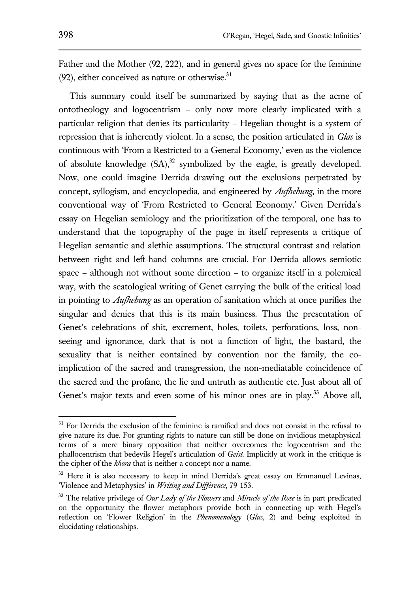Father and the Mother (92, 222), and in general gives no space for the feminine  $(92)$ , either conceived as nature or otherwise. $31$ 

This summary could itself be summarized by saying that as the acme of ontotheology and logocentrism – only now more clearly implicated with a particular religion that denies its particularity – Hegelian thought is a system of repression that is inherently violent. In a sense, the position articulated in *Glas* is continuous with 'From a Restricted to a General Economy,' even as the violence of absolute knowledge  $(SA)$ ,<sup>32</sup> symbolized by the eagle, is greatly developed. Now, one could imagine Derrida drawing out the exclusions perpetrated by concept, syllogism, and encyclopedia, and engineered by *Aufhebung*, in the more conventional way of 'From Restricted to General Economy.' Given Derrida's essay on Hegelian semiology and the prioritization of the temporal, one has to understand that the topography of the page in itself represents a critique of Hegelian semantic and alethic assumptions. The structural contrast and relation between right and left-hand columns are crucial. For Derrida allows semiotic space – although not without some direction – to organize itself in a polemical way, with the scatological writing of Genet carrying the bulk of the critical load in pointing to *Aufhebung* as an operation of sanitation which at once purifies the singular and denies that this is its main business. Thus the presentation of Genet's celebrations of shit, excrement, holes, toilets, perforations, loss, nonseeing and ignorance, dark that is not a function of light, the bastard, the sexuality that is neither contained by convention nor the family, the coimplication of the sacred and transgression, the non-mediatable coincidence of the sacred and the profane, the lie and untruth as authentic etc. Just about all of Genet's major texts and even some of his minor ones are in play.<sup>33</sup> Above all,

<sup>&</sup>lt;sup>31</sup> For Derrida the exclusion of the feminine is ramified and does not consist in the refusal to give nature its due. For granting rights to nature can still be done on invidious metaphysical terms of a mere binary opposition that neither overcomes the logocentrism and the phallocentrism that bedevils Hegel's articulation of *Geist.* Implicitly at work in the critique is the cipher of the *khora* that is neither a concept nor a name.

<sup>&</sup>lt;sup>32</sup> Here it is also necessary to keep in mind Derrida's great essay on Emmanuel Levinas, 'Violence and Metaphysics' in *Writing and Difference*, 79-153.

<sup>33</sup> The relative privilege of *Our Lady of the Flowers* and *Miracle of the Rose* is in part predicated on the opportunity the flower metaphors provide both in connecting up with Hegel's reflection on 'Flower Religion' in the *Phenomenology* (*Glas*, 2) and being exploited in elucidating relationships.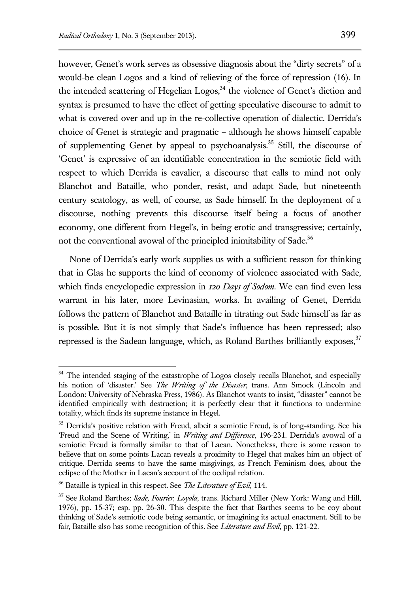however, Genet's work serves as obsessive diagnosis about the "dirty secrets" of a would-be clean Logos and a kind of relieving of the force of repression (16). In the intended scattering of Hegelian Logos,  $34$  the violence of Genet's diction and syntax is presumed to have the effect of getting speculative discourse to admit to what is covered over and up in the re-collective operation of dialectic. Derrida's choice of Genet is strategic and pragmatic – although he shows himself capable of supplementing Genet by appeal to psychoanalysis.<sup>35</sup> Still, the discourse of 'Genet' is expressive of an identifiable concentration in the semiotic field with respect to which Derrida is cavalier, a discourse that calls to mind not only Blanchot and Bataille, who ponder, resist, and adapt Sade, but nineteenth century scatology, as well, of course, as Sade himself. In the deployment of a discourse, nothing prevents this discourse itself being a focus of another economy, one different from Hegel's, in being erotic and transgressive; certainly, not the conventional avowal of the principled inimitability of Sade.<sup>36</sup>

None of Derrida's early work supplies us with a sufficient reason for thinking that in Glas he supports the kind of economy of violence associated with Sade, which finds encyclopedic expression in *120 Days of Sodom*. We can find even less warrant in his later, more Levinasian, works. In availing of Genet, Derrida follows the pattern of Blanchot and Bataille in titrating out Sade himself as far as is possible. But it is not simply that Sade's influence has been repressed; also repressed is the Sadean language, which, as Roland Barthes brilliantly exposes,  $37$ 

<sup>&</sup>lt;sup>34</sup> The intended staging of the catastrophe of Logos closely recalls Blanchot, and especially his notion of 'disaster.' See *The Writing of the Disaster*, trans. Ann Smock (Lincoln and London: University of Nebraska Press, 1986). As Blanchot wants to insist, "disaster" cannot be identified empirically with destruction; it is perfectly clear that it functions to undermine totality, which finds its supreme instance in Hegel.

<sup>&</sup>lt;sup>35</sup> Derrida's positive relation with Freud, albeit a semiotic Freud, is of long-standing. See his 'Freud and the Scene of Writing,' in *Writing and Difference*, 196-231. Derrida's avowal of a semiotic Freud is formally similar to that of Lacan. Nonetheless, there is some reason to believe that on some points Lacan reveals a proximity to Hegel that makes him an object of critique. Derrida seems to have the same misgivings, as French Feminism does, about the eclipse of the Mother in Lacan's account of the oedipal relation.

<sup>36</sup> Bataille is typical in this respect. See *The Literature of Evil*, 114.

<sup>37</sup> See Roland Barthes; *Sade, Fourier, Loyola*, trans. Richard Miller (New York: Wang and Hill, 1976), pp. 15-37; esp. pp. 26-30. This despite the fact that Barthes seems to be coy about thinking of Sade's semiotic code being semantic, or imagining its actual enactment. Still to be fair, Bataille also has some recognition of this. See *Literature and Evil*, pp. 121-22.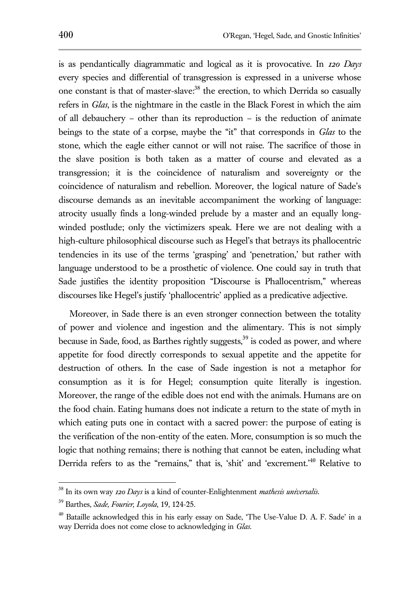is as pendantically diagrammatic and logical as it is provocative. In *120 Days* every species and differential of transgression is expressed in a universe whose one constant is that of master-slave:<sup>38</sup> the erection, to which Derrida so casually refers in *Glas*, is the nightmare in the castle in the Black Forest in which the aim of all debauchery – other than its reproduction – is the reduction of animate beings to the state of a corpse, maybe the "it" that corresponds in *Glas* to the stone, which the eagle either cannot or will not raise. The sacrifice of those in the slave position is both taken as a matter of course and elevated as a transgression; it is the coincidence of naturalism and sovereignty or the coincidence of naturalism and rebellion. Moreover, the logical nature of Sade's discourse demands as an inevitable accompaniment the working of language: atrocity usually finds a long-winded prelude by a master and an equally longwinded postlude; only the victimizers speak. Here we are not dealing with a high-culture philosophical discourse such as Hegel's that betrays its phallocentric tendencies in its use of the terms 'grasping' and 'penetration,' but rather with language understood to be a prosthetic of violence. One could say in truth that Sade justifies the identity proposition "Discourse is Phallocentrism," whereas discourses like Hegel's justify 'phallocentric' applied as a predicative adjective.

Moreover, in Sade there is an even stronger connection between the totality of power and violence and ingestion and the alimentary. This is not simply because in Sade, food, as Barthes rightly suggests,<sup>39</sup> is coded as power, and where appetite for food directly corresponds to sexual appetite and the appetite for destruction of others. In the case of Sade ingestion is not a metaphor for consumption as it is for Hegel; consumption quite literally is ingestion. Moreover, the range of the edible does not end with the animals. Humans are on the food chain. Eating humans does not indicate a return to the state of myth in which eating puts one in contact with a sacred power: the purpose of eating is the verification of the non-entity of the eaten. More, consumption is so much the logic that nothing remains; there is nothing that cannot be eaten, including what Derrida refers to as the "remains," that is, 'shit' and 'excrement.<sup>40</sup> Relative to

<sup>38</sup> In its own way *120 Days* is a kind of counter-Enlightenment *mathesis universalis*.

<sup>39</sup> Barthes, *Sade, Fourier, Loyola*, 19, 124-25.

<sup>&</sup>lt;sup>40</sup> Bataille acknowledged this in his early essay on Sade, 'The Use-Value D. A. F. Sade' in a way Derrida does not come close to acknowledging in *Glas*.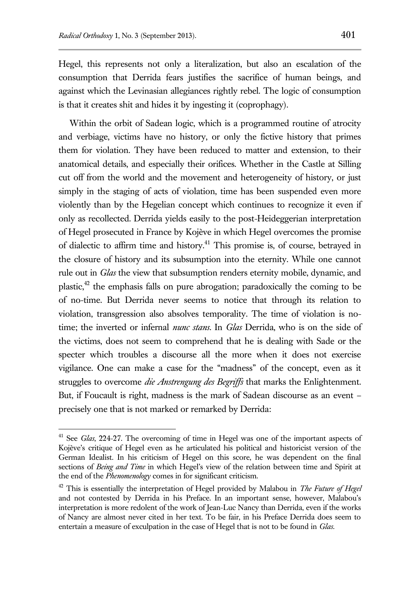Hegel, this represents not only a literalization, but also an escalation of the consumption that Derrida fears justifies the sacrifice of human beings, and against which the Levinasian allegiances rightly rebel. The logic of consumption is that it creates shit and hides it by ingesting it (coprophagy).

Within the orbit of Sadean logic, which is a programmed routine of atrocity and verbiage, victims have no history, or only the fictive history that primes them for violation. They have been reduced to matter and extension, to their anatomical details, and especially their orifices. Whether in the Castle at Silling cut off from the world and the movement and heterogeneity of history, or just simply in the staging of acts of violation, time has been suspended even more violently than by the Hegelian concept which continues to recognize it even if only as recollected. Derrida yields easily to the post-Heideggerian interpretation of Hegel prosecuted in France by Kojève in which Hegel overcomes the promise of dialectic to affirm time and history.<sup>41</sup> This promise is, of course, betrayed in the closure of history and its subsumption into the eternity. While one cannot rule out in *Glas* the view that subsumption renders eternity mobile, dynamic, and plastic, $42$  the emphasis falls on pure abrogation; paradoxically the coming to be of no-time. But Derrida never seems to notice that through its relation to violation, transgression also absolves temporality. The time of violation is notime; the inverted or infernal *nunc stans*. In *Glas* Derrida, who is on the side of the victims, does not seem to comprehend that he is dealing with Sade or the specter which troubles a discourse all the more when it does not exercise vigilance. One can make a case for the "madness" of the concept, even as it struggles to overcome *die Anstrengung des Begriffs* that marks the Enlightenment. But, if Foucault is right, madness is the mark of Sadean discourse as an event – precisely one that is not marked or remarked by Derrida:

<sup>41</sup> See *Glas*, 224-27. The overcoming of time in Hegel was one of the important aspects of Kojève's critique of Hegel even as he articulated his political and historicist version of the German Idealist. In his criticism of Hegel on this score, he was dependent on the final sections of *Being and Time* in which Hegel's view of the relation between time and Spirit at the end of the *Phenomenology* comes in for significant criticism.

<sup>42</sup> This is essentially the interpretation of Hegel provided by Malabou in *The Future of Hegel* and not contested by Derrida in his Preface. In an important sense, however, Malabou's interpretation is more redolent of the work of Jean-Luc Nancy than Derrida, even if the works of Nancy are almost never cited in her text. To be fair, in his Preface Derrida does seem to entertain a measure of exculpation in the case of Hegel that is not to be found in *Glas.*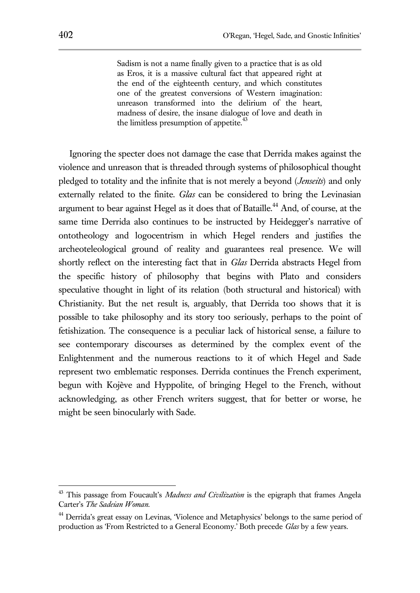Sadism is not a name finally given to a practice that is as old as Eros, it is a massive cultural fact that appeared right at the end of the eighteenth century, and which constitutes one of the greatest conversions of Western imagination: unreason transformed into the delirium of the heart, madness of desire, the insane dialogue of love and death in the limitless presumption of appetite.<sup>43</sup>

Ignoring the specter does not damage the case that Derrida makes against the violence and unreason that is threaded through systems of philosophical thought pledged to totality and the infinite that is not merely a beyond (*Jenseits*) and only externally related to the finite. *Glas* can be considered to bring the Levinasian argument to bear against Hegel as it does that of Bataille.<sup>44</sup> And, of course, at the same time Derrida also continues to be instructed by Heidegger's narrative of ontotheology and logocentrism in which Hegel renders and justifies the archeoteleological ground of reality and guarantees real presence. We will shortly reflect on the interesting fact that in *Glas* Derrida abstracts Hegel from the specific history of philosophy that begins with Plato and considers speculative thought in light of its relation (both structural and historical) with Christianity. But the net result is, arguably, that Derrida too shows that it is possible to take philosophy and its story too seriously, perhaps to the point of fetishization. The consequence is a peculiar lack of historical sense, a failure to see contemporary discourses as determined by the complex event of the Enlightenment and the numerous reactions to it of which Hegel and Sade represent two emblematic responses. Derrida continues the French experiment, begun with Kojève and Hyppolite, of bringing Hegel to the French, without acknowledging, as other French writers suggest, that for better or worse, he might be seen binocularly with Sade.

<sup>&</sup>lt;sup>43</sup> This passage from Foucault's *Madness and Civilization* is the epigraph that frames Angela Carter's *The Sadeian Woman*.

<sup>&</sup>lt;sup>44</sup> Derrida's great essay on Levinas, 'Violence and Metaphysics' belongs to the same period of production as 'From Restricted to a General Economy.' Both precede *Glas* by a few years.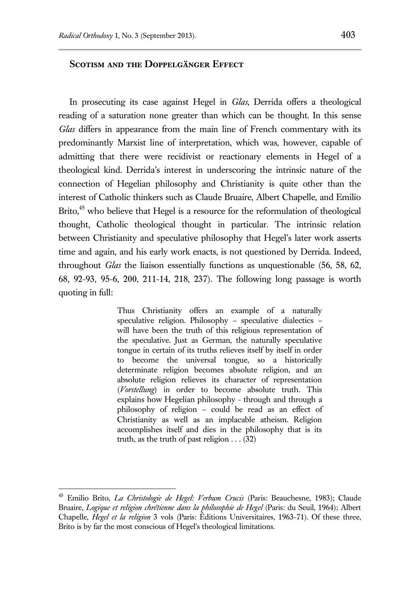#### **Scotism and the Doppelgänger Effect**

In prosecuting its case against Hegel in *Glas*, Derrida offers a theological reading of a saturation none greater than which can be thought. In this sense *Glas* differs in appearance from the main line of French commentary with its predominantly Marxist line of interpretation, which was, however, capable of admitting that there were recidivist or reactionary elements in Hegel of a theological kind. Derrida's interest in underscoring the intrinsic nature of the connection of Hegelian philosophy and Christianity is quite other than the interest of Catholic thinkers such as Claude Bruaire, Albert Chapelle, and Emilio Brito, $45$  who believe that Hegel is a resource for the reformulation of theological thought, Catholic theological thought in particular. The intrinsic relation between Christianity and speculative philosophy that Hegel's later work asserts time and again, and his early work enacts, is not questioned by Derrida. Indeed, throughout *Glas* the liaison essentially functions as unquestionable (56, 58, 62, 68, 92-93, 95-6, 200, 211-14, 218, 237). The following long passage is worth quoting in full:

> Thus Christianity offers an example of a naturally speculative religion. Philosophy – speculative dialectics – will have been the truth of this religious representation of the speculative. Just as German, the naturally speculative tongue in certain of its truths relieves itself by itself in order to become the universal tongue, so a historically determinate religion becomes absolute religion, and an absolute religion relieves its character of representation (*Vorstellung*) in order to become absolute truth. This explains how Hegelian philosophy - through and through a philosophy of religion – could be read as an effect of Christianity as well as an implacable atheism. Religion accomplishes itself and dies in the philosophy that is its truth, as the truth of past religion  $\ldots$  (32)

<sup>45</sup> Emilio Brito, *La Christologie de Hegel: Verbum Crucis* (Paris: Beauchesne, 1983); Claude Bruaire, *Logique et religion chrétienne dans la philosophie de Hegel* (Paris: du Seuil, 1964); Albert Chapelle, *Hegel et la religion* 3 vols (Paris: Éditions Universitaires, 1963-71). Of these three, Brito is by far the most conscious of Hegel's theological limitations.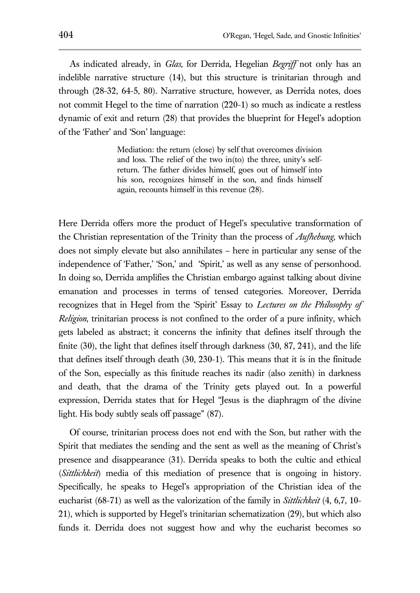As indicated already, in *Glas*, for Derrida, Hegelian *Begriff* not only has an indelible narrative structure (14), but this structure is trinitarian through and through (28-32, 64-5, 80). Narrative structure, however, as Derrida notes, does not commit Hegel to the time of narration (220-1) so much as indicate a restless dynamic of exit and return (28) that provides the blueprint for Hegel's adoption of the 'Father' and 'Son' language:

> Mediation: the return (close) by self that overcomes division and loss. The relief of the two in(to) the three, unity's selfreturn. The father divides himself, goes out of himself into his son, recognizes himself in the son, and finds himself again, recounts himself in this revenue (28).

Here Derrida offers more the product of Hegel's speculative transformation of the Christian representation of the Trinity than the process of *Aufhebung*, which does not simply elevate but also annihilates – here in particular any sense of the independence of 'Father,' 'Son,' and 'Spirit,' as well as any sense of personhood. In doing so, Derrida amplifies the Christian embargo against talking about divine emanation and processes in terms of tensed categories. Moreover, Derrida recognizes that in Hegel from the 'Spirit' Essay to *Lectures on the Philosophy of Religion*, trinitarian process is not confined to the order of a pure infinity, which gets labeled as abstract; it concerns the infinity that defines itself through the finite (30), the light that defines itself through darkness (30, 87, 241), and the life that defines itself through death (30, 230-1). This means that it is in the finitude of the Son, especially as this finitude reaches its nadir (also zenith) in darkness and death, that the drama of the Trinity gets played out. In a powerful expression, Derrida states that for Hegel "Jesus is the diaphragm of the divine light. His body subtly seals off passage" (87).

Of course, trinitarian process does not end with the Son, but rather with the Spirit that mediates the sending and the sent as well as the meaning of Christ's presence and disappearance (31). Derrida speaks to both the cultic and ethical (*Sittlichkeit*) media of this mediation of presence that is ongoing in history. Specifically, he speaks to Hegel's appropriation of the Christian idea of the eucharist (68-71) as well as the valorization of the family in *Sittlichkeit* (4, 6,7, 10- 21), which is supported by Hegel's trinitarian schematization (29), but which also funds it. Derrida does not suggest how and why the eucharist becomes so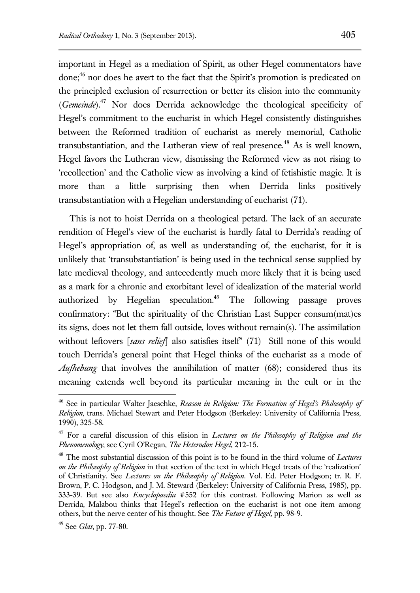important in Hegel as a mediation of Spirit, as other Hegel commentators have done;<sup>46</sup> nor does he avert to the fact that the Spirit's promotion is predicated on the principled exclusion of resurrection or better its elision into the community (*Gemeinde*).<sup>47</sup> Nor does Derrida acknowledge the theological specificity of Hegel's commitment to the eucharist in which Hegel consistently distinguishes between the Reformed tradition of eucharist as merely memorial, Catholic transubstantiation, and the Lutheran view of real presence.<sup>48</sup> As is well known, Hegel favors the Lutheran view, dismissing the Reformed view as not rising to 'recollection' and the Catholic view as involving a kind of fetishistic magic. It is more than a little surprising then when Derrida links positively transubstantiation with a Hegelian understanding of eucharist (71).

This is not to hoist Derrida on a theological petard. The lack of an accurate rendition of Hegel's view of the eucharist is hardly fatal to Derrida's reading of Hegel's appropriation of, as well as understanding of, the eucharist, for it is unlikely that 'transubstantiation' is being used in the technical sense supplied by late medieval theology, and antecedently much more likely that it is being used as a mark for a chronic and exorbitant level of idealization of the material world authorized by Hegelian speculation.<sup>49</sup> The following passage proves confirmatory: "But the spirituality of the Christian Last Supper consum(mat)es its signs, does not let them fall outside, loves without remain(s). The assimilation without leftovers [*sans relief*] also satisfies itself" (71) Still none of this would touch Derrida's general point that Hegel thinks of the eucharist as a mode of *Aufhebung* that involves the annihilation of matter (68); considered thus its meaning extends well beyond its particular meaning in the cult or in the

<sup>46</sup> See in particular Walter Jaeschke, *Reason in Religion: The Formation of Hegel's Philosophy of Religion*, trans. Michael Stewart and Peter Hodgson (Berkeley: University of California Press, 1990), 325-58.

<sup>47</sup> For a careful discussion of this elision in *Lectures on the Philosophy of Religion and the Phenomenology*, see Cyril O'Regan, *The Heterodox Hegel*, 212-15.

<sup>48</sup> The most substantial discussion of this point is to be found in the third volume of *Lectures on the Philosophy of Religion* in that section of the text in which Hegel treats of the 'realization' of Christianity. See *Lectures on the Philosophy of Religion*. Vol. Ed. Peter Hodgson; tr. R. F. Brown, P. C. Hodgson, and J. M. Steward (Berkeley: University of California Press, 1985), pp. 333-39. But see also *Encyclopaedia* #552 for this contrast. Following Marion as well as Derrida, Malabou thinks that Hegel's reflection on the eucharist is not one item among others, but the nerve center of his thought. See *The Future of Hegel,* pp. 98-9.

<sup>49</sup> See *Glas*, pp. 77-80.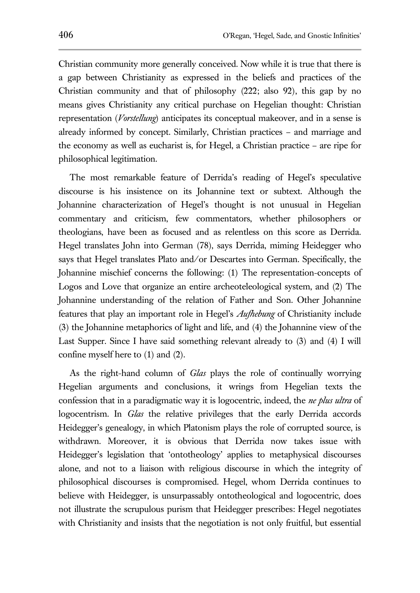Christian community more generally conceived. Now while it is true that there is a gap between Christianity as expressed in the beliefs and practices of the Christian community and that of philosophy (222; also 92), this gap by no means gives Christianity any critical purchase on Hegelian thought: Christian representation (*Vorstellung*) anticipates its conceptual makeover, and in a sense is already informed by concept. Similarly, Christian practices – and marriage and the economy as well as eucharist is, for Hegel, a Christian practice – are ripe for philosophical legitimation.

The most remarkable feature of Derrida's reading of Hegel's speculative discourse is his insistence on its Johannine text or subtext. Although the Johannine characterization of Hegel's thought is not unusual in Hegelian commentary and criticism, few commentators, whether philosophers or theologians, have been as focused and as relentless on this score as Derrida. Hegel translates John into German (78), says Derrida, miming Heidegger who says that Hegel translates Plato and/or Descartes into German. Specifically, the Johannine mischief concerns the following: (1) The representation-concepts of Logos and Love that organize an entire archeoteleological system, and (2) The Johannine understanding of the relation of Father and Son. Other Johannine features that play an important role in Hegel's *Aufhebung* of Christianity include (3) the Johannine metaphorics of light and life, and (4) the Johannine view of the Last Supper. Since I have said something relevant already to (3) and (4) I will confine myself here to (1) and (2).

As the right-hand column of *Glas* plays the role of continually worrying Hegelian arguments and conclusions, it wrings from Hegelian texts the confession that in a paradigmatic way it is logocentric, indeed, the *ne plus ultra* of logocentrism. In *Glas* the relative privileges that the early Derrida accords Heidegger's genealogy, in which Platonism plays the role of corrupted source, is withdrawn. Moreover, it is obvious that Derrida now takes issue with Heidegger's legislation that 'ontotheology' applies to metaphysical discourses alone, and not to a liaison with religious discourse in which the integrity of philosophical discourses is compromised. Hegel, whom Derrida continues to believe with Heidegger, is unsurpassably ontotheological and logocentric, does not illustrate the scrupulous purism that Heidegger prescribes: Hegel negotiates with Christianity and insists that the negotiation is not only fruitful, but essential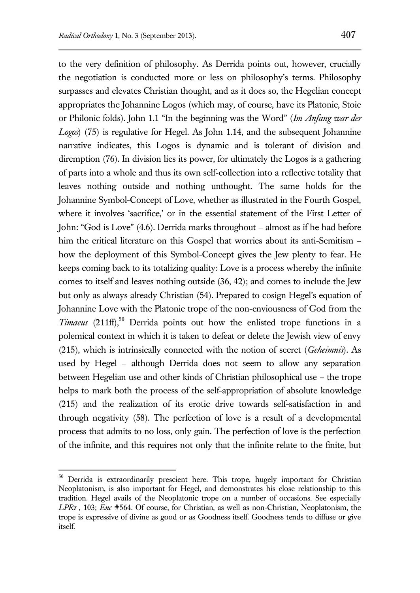to the very definition of philosophy. As Derrida points out, however, crucially the negotiation is conducted more or less on philosophy's terms. Philosophy surpasses and elevates Christian thought, and as it does so, the Hegelian concept appropriates the Johannine Logos (which may, of course, have its Platonic, Stoic or Philonic folds). John 1.1 "In the beginning was the Word" (*Im Anfang war der Logos*) (75) is regulative for Hegel. As John 1.14, and the subsequent Johannine narrative indicates, this Logos is dynamic and is tolerant of division and diremption (76). In division lies its power, for ultimately the Logos is a gathering of parts into a whole and thus its own self-collection into a reflective totality that leaves nothing outside and nothing unthought. The same holds for the Johannine Symbol-Concept of Love, whether as illustrated in the Fourth Gospel, where it involves 'sacrifice,' or in the essential statement of the First Letter of John: "God is Love" (4.6). Derrida marks throughout – almost as if he had before him the critical literature on this Gospel that worries about its anti-Semitism – how the deployment of this Symbol-Concept gives the Jew plenty to fear. He keeps coming back to its totalizing quality: Love is a process whereby the infinite comes to itself and leaves nothing outside (36, 42); and comes to include the Jew but only as always already Christian (54). Prepared to cosign Hegel's equation of Johannine Love with the Platonic trope of the non-enviousness of God from the *Timaeus* (211ff),<sup>50</sup> Derrida points out how the enlisted trope functions in a polemical context in which it is taken to defeat or delete the Jewish view of envy (215), which is intrinsically connected with the notion of secret (*Geheimnis*). As used by Hegel – although Derrida does not seem to allow any separation between Hegelian use and other kinds of Christian philosophical use – the trope helps to mark both the process of the self-appropriation of absolute knowledge (215) and the realization of its erotic drive towards self-satisfaction in and through negativity (58). The perfection of love is a result of a developmental process that admits to no loss, only gain. The perfection of love is the perfection of the infinite, and this requires not only that the infinite relate to the finite, but

<sup>&</sup>lt;sup>50</sup> Derrida is extraordinarily prescient here. This trope, hugely important for Christian Neoplatonism, is also important for Hegel, and demonstrates his close relationship to this tradition. Hegel avails of the Neoplatonic trope on a number of occasions. See especially *LPR1* , 103; *Enc* #564. Of course, for Christian, as well as non-Christian, Neoplatonism, the trope is expressive of divine as good or as Goodness itself. Goodness tends to diffuse or give itself.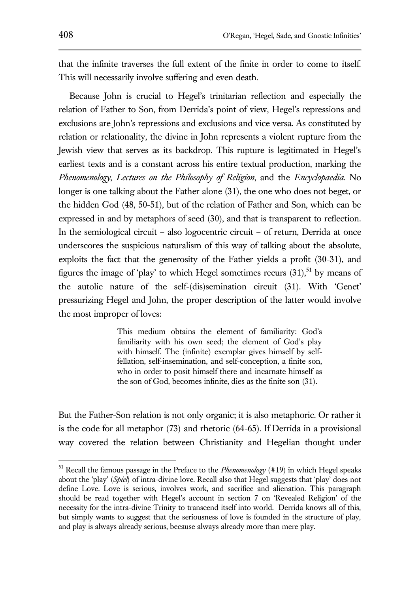that the infinite traverses the full extent of the finite in order to come to itself. This will necessarily involve suffering and even death.

Because John is crucial to Hegel's trinitarian reflection and especially the relation of Father to Son, from Derrida's point of view, Hegel's repressions and exclusions are John's repressions and exclusions and vice versa. As constituted by relation or relationality, the divine in John represents a violent rupture from the Jewish view that serves as its backdrop. This rupture is legitimated in Hegel's earliest texts and is a constant across his entire textual production, marking the *Phenomenology*, *Lectures on the Philosophy of Religion*, and the *Encyclopaedia*. No longer is one talking about the Father alone (31), the one who does not beget, or the hidden God (48, 50-51), but of the relation of Father and Son, which can be expressed in and by metaphors of seed (30), and that is transparent to reflection. In the semiological circuit – also logocentric circuit – of return, Derrida at once underscores the suspicious naturalism of this way of talking about the absolute, exploits the fact that the generosity of the Father yields a profit (30-31), and figures the image of 'play' to which Hegel sometimes recurs  $(31)$ <sup>51</sup> by means of the autolic nature of the self-(dis)semination circuit (31). With 'Genet' pressurizing Hegel and John, the proper description of the latter would involve the most improper of loves:

> This medium obtains the element of familiarity: God's familiarity with his own seed; the element of God's play with himself. The (infinite) exemplar gives himself by selffellation, self-insemination, and self-conception, a finite son, who in order to posit himself there and incarnate himself as the son of God, becomes infinite, dies as the finite son (31).

But the Father-Son relation is not only organic; it is also metaphoric. Or rather it is the code for all metaphor (73) and rhetoric (64-65). If Derrida in a provisional way covered the relation between Christianity and Hegelian thought under

<sup>51</sup> Recall the famous passage in the Preface to the *Phenomenology* (#19) in which Hegel speaks about the 'play' (*Spiel*) of intra-divine love. Recall also that Hegel suggests that 'play' does not define Love. Love is serious, involves work, and sacrifice and alienation. This paragraph should be read together with Hegel's account in section 7 on 'Revealed Religion' of the necessity for the intra-divine Trinity to transcend itself into world. Derrida knows all of this, but simply wants to suggest that the seriousness of love is founded in the structure of play, and play is always already serious, because always already more than mere play.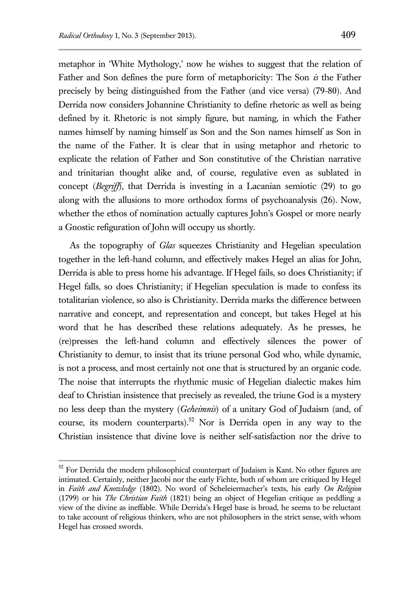metaphor in 'White Mythology,' now he wishes to suggest that the relation of Father and Son defines the pure form of metaphoricity: The Son *is* the Father precisely by being distinguished from the Father (and vice versa) (79-80). And Derrida now considers Johannine Christianity to define rhetoric as well as being defined by it. Rhetoric is not simply figure, but naming, in which the Father names himself by naming himself as Son and the Son names himself as Son in the name of the Father. It is clear that in using metaphor and rhetoric to explicate the relation of Father and Son constitutive of the Christian narrative and trinitarian thought alike and, of course, regulative even as sublated in concept (*Begriff*), that Derrida is investing in a Lacanian semiotic (29) to go along with the allusions to more orthodox forms of psychoanalysis (26). Now, whether the ethos of nomination actually captures John's Gospel or more nearly a Gnostic refiguration of John will occupy us shortly.

As the topography of *Glas* squeezes Christianity and Hegelian speculation together in the left-hand column, and effectively makes Hegel an alias for John, Derrida is able to press home his advantage. If Hegel fails, so does Christianity; if Hegel falls, so does Christianity; if Hegelian speculation is made to confess its totalitarian violence, so also is Christianity. Derrida marks the difference between narrative and concept, and representation and concept, but takes Hegel at his word that he has described these relations adequately. As he presses, he (re)presses the left-hand column and effectively silences the power of Christianity to demur, to insist that its triune personal God who, while dynamic, is not a process, and most certainly not one that is structured by an organic code. The noise that interrupts the rhythmic music of Hegelian dialectic makes him deaf to Christian insistence that precisely as revealed, the triune God is a mystery no less deep than the mystery (*Geheimnis*) of a unitary God of Judaism (and, of course, its modern counterparts).<sup>52</sup> Nor is Derrida open in any way to the Christian insistence that divine love is neither self-satisfaction nor the drive to

 $52$  For Derrida the modern philosophical counterpart of Judaism is Kant. No other figures are intimated. Certainly, neither Jacobi nor the early Fichte, both of whom are critiqued by Hegel in *Faith and Knowledge* (1802). No word of Scheleiermacher's texts, his early *On Religion* (1799) or his *The Christian Faith* (1821) being an object of Hegelian critique as peddling a view of the divine as ineffable. While Derrida's Hegel base is broad, he seems to be reluctant to take account of religious thinkers, who are not philosophers in the strict sense, with whom Hegel has crossed swords.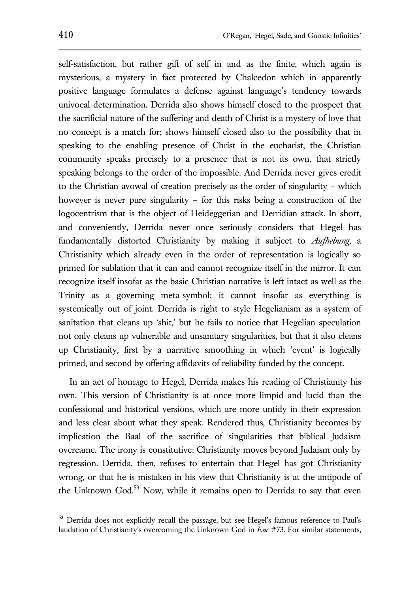self-satisfaction, but rather gift of self in and as the finite, which again is mysterious, a mystery in fact protected by Chalcedon which in apparently positive language formulates a defense against language's tendency towards univocal determination. Derrida also shows himself closed to the prospect that the sacrificial nature of the suffering and death of Christ is a mystery of love that no concept is a match for; shows himself closed also to the possibility that in speaking to the enabling presence of Christ in the eucharist, the Christian community speaks precisely to a presence that is not its own, that strictly speaking belongs to the order of the impossible. And Derrida never gives credit to the Christian avowal of creation precisely as the order of singularity – which however is never pure singularity – for this risks being a construction of the logocentrism that is the object of Heideggerian and Derridian attack. In short, and conveniently, Derrida never once seriously considers that Hegel has fundamentally distorted Christianity by making it subject to *Aufhebung*, a Christianity which already even in the order of representation is logically so primed for sublation that it can and cannot recognize itself in the mirror. It can recognize itself insofar as the basic Christian narrative is left intact as well as the Trinity as a governing meta-symbol; it cannot insofar as everything is systemically out of joint. Derrida is right to style Hegelianism as a system of sanitation that cleans up 'shit,' but he fails to notice that Hegelian speculation not only cleans up vulnerable and unsanitary singularities, but that it also cleans up Christianity, first by a narrative smoothing in which 'event' is logically primed, and second by offering affidavits of reliability funded by the concept.

In an act of homage to Hegel, Derrida makes his reading of Christianity his own. This version of Christianity is at once more limpid and lucid than the confessional and historical versions, which are more untidy in their expression and less clear about what they speak. Rendered thus, Christianity becomes by implication the Baal of the sacrifice of singularities that biblical Judaism overcame. The irony is constitutive: Christianity moves beyond Judaism only by regression. Derrida, then, refuses to entertain that Hegel has got Christianity wrong, or that he is mistaken in his view that Christianity is at the antipode of the Unknown God.<sup>53</sup> Now, while it remains open to Derrida to say that even

<sup>&</sup>lt;sup>53</sup> Derrida does not explicitly recall the passage, but see Hegel's famous reference to Paul's laudation of Christianity's overcoming the Unknown God in *Enc* #73. For similar statements,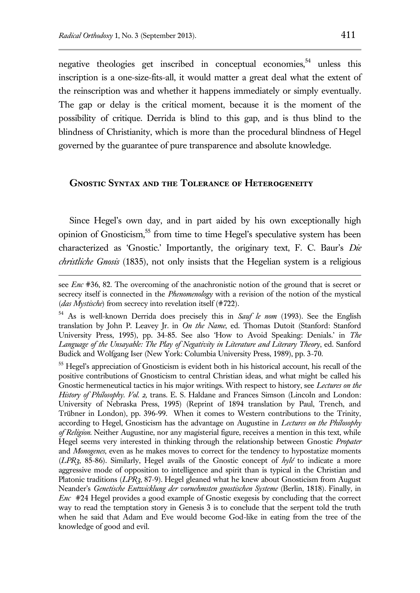negative theologies get inscribed in conceptual economies,<sup>54</sup> unless this inscription is a one-size-fits-all, it would matter a great deal what the extent of the reinscription was and whether it happens immediately or simply eventually. The gap or delay is the critical moment, because it is the moment of the possibility of critique. Derrida is blind to this gap, and is thus blind to the blindness of Christianity, which is more than the procedural blindness of Hegel

governed by the guarantee of pure transparence and absolute knowledge.

## **Gnostic Syntax and the Tolerance of Heterogeneity**

Since Hegel's own day, and in part aided by his own exceptionally high opinion of Gnosticism,<sup>55</sup> from time to time Hegel's speculative system has been characterized as 'Gnostic.' Importantly, the originary text, F. C. Baur's *Die christliche Gnosis* (1835), not only insists that the Hegelian system is a religious

see *Enc* #36, 82. The overcoming of the anachronistic notion of the ground that is secret or secrecy itself is connected in the *Phenomenology* with a revision of the notion of the mystical (*das Mystische*) from secrecy into revelation itself (#722).

<sup>54</sup> As is well-known Derrida does precisely this in *Sauf le nom* (1993). See the English translation by John P. Leavey Jr. in *On the Name*, ed. Thomas Dutoit (Stanford: Stanford University Press, 1995), pp. 34-85. See also 'How to Avoid Speaking: Denials.' in *The Language of the Unsayable: The Play of Negativity in Literature and Literary Theory*, ed. Sanford Budick and Wolfgang Iser (New York: Columbia University Press, 1989), pp. 3-70.

<sup>&</sup>lt;sup>55</sup> Hegel's appreciation of Gnosticism is evident both in his historical account, his recall of the positive contributions of Gnosticism to central Christian ideas, and what might be called his Gnostic hermeneutical tactics in his major writings. With respect to history, see *Lectures on the History of Philosophy. Vol. 2,* trans. E. S. Haldane and Frances Simson (Lincoln and London: University of Nebraska Press, 1995) (Reprint of 1894 translation by Paul, Trench, and Trübner in London), pp. 396-99. When it comes to Western contributions to the Trinity, according to Hegel, Gnosticism has the advantage on Augustine in *Lectures on the Philosophy of Religion*. Neither Augustine, nor any magisterial figure, receives a mention in this text, while Hegel seems very interested in thinking through the relationship between Gnostic *Propater* and *Monogenes*, even as he makes moves to correct for the tendency to hypostatize moments  $(LPR<sub>3</sub>, 85-86)$ . Similarly, Hegel avails of the Gnostic concept of  $hyl\acute{e}$  to indicate a more aggressive mode of opposition to intelligence and spirit than is typical in the Christian and Platonic traditions (*LPR3*, 87-9). Hegel gleaned what he knew about Gnosticism from August Neander's *Genetische Entwicklung der vornehmsten gnostischen Systeme* (Berlin, 1818). Finally, in *Enc* #24 Hegel provides a good example of Gnostic exegesis by concluding that the correct way to read the temptation story in Genesis 3 is to conclude that the serpent told the truth when he said that Adam and Eve would become God-like in eating from the tree of the knowledge of good and evil.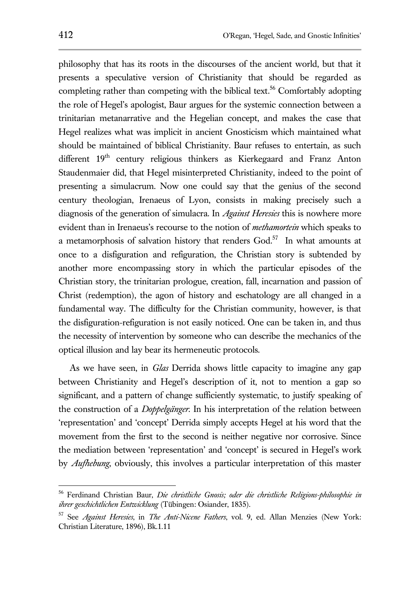philosophy that has its roots in the discourses of the ancient world, but that it presents a speculative version of Christianity that should be regarded as completing rather than competing with the biblical text. <sup>56</sup> Comfortably adopting the role of Hegel's apologist, Baur argues for the systemic connection between a trinitarian metanarrative and the Hegelian concept, and makes the case that Hegel realizes what was implicit in ancient Gnosticism which maintained what should be maintained of biblical Christianity. Baur refuses to entertain, as such different 19<sup>th</sup> century religious thinkers as Kierkegaard and Franz Anton Staudenmaier did, that Hegel misinterpreted Christianity, indeed to the point of presenting a simulacrum. Now one could say that the genius of the second century theologian, Irenaeus of Lyon, consists in making precisely such a diagnosis of the generation of simulacra. In *Against Heresies* this is nowhere more evident than in Irenaeus's recourse to the notion of *methamortein* which speaks to a metamorphosis of salvation history that renders  $God.^{57}$  In what amounts at once to a disfiguration and refiguration, the Christian story is subtended by another more encompassing story in which the particular episodes of the Christian story, the trinitarian prologue, creation, fall, incarnation and passion of Christ (redemption), the agon of history and eschatology are all changed in a fundamental way. The difficulty for the Christian community, however, is that the disfiguration-refiguration is not easily noticed. One can be taken in, and thus the necessity of intervention by someone who can describe the mechanics of the optical illusion and lay bear its hermeneutic protocols.

As we have seen, in *Glas* Derrida shows little capacity to imagine any gap between Christianity and Hegel's description of it, not to mention a gap so significant, and a pattern of change sufficiently systematic, to justify speaking of the construction of a *Doppelgänger*. In his interpretation of the relation between 'representation' and 'concept' Derrida simply accepts Hegel at his word that the movement from the first to the second is neither negative nor corrosive. Since the mediation between 'representation' and 'concept' is secured in Hegel's work by *Aufhebung*, obviously, this involves a particular interpretation of this master

<sup>56</sup> Ferdinand Christian Baur, *Die christliche Gnosis; oder die christliche Religions-philosophie in ihrer geschichtlichen Entwicklung* (Tübingen: Osiander, 1835).

<sup>57</sup> See *Against Heresies*, in *The Anti-Nicene Fathers*, vol. 9, ed. Allan Menzies (New York: Christian Literature, 1896), Bk.1.11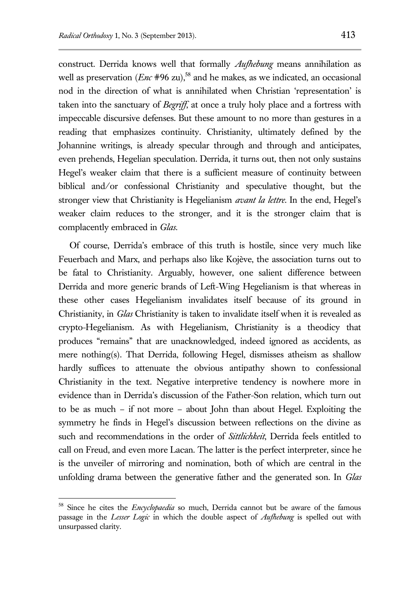construct. Derrida knows well that formally *Aufhebung* means annihilation as well as preservation  $(Enc \#96 \text{ zu})$ ,<sup>58</sup> and he makes, as we indicated, an occasional nod in the direction of what is annihilated when Christian 'representation' is taken into the sanctuary of *Begriff*, at once a truly holy place and a fortress with impeccable discursive defenses. But these amount to no more than gestures in a reading that emphasizes continuity. Christianity, ultimately defined by the Johannine writings, is already specular through and through and anticipates, even prehends, Hegelian speculation. Derrida, it turns out, then not only sustains Hegel's weaker claim that there is a sufficient measure of continuity between biblical and/or confessional Christianity and speculative thought, but the stronger view that Christianity is Hegelianism *avant la lettre*. In the end, Hegel's weaker claim reduces to the stronger, and it is the stronger claim that is complacently embraced in *Glas.*

Of course, Derrida's embrace of this truth is hostile, since very much like Feuerbach and Marx, and perhaps also like Kojève, the association turns out to be fatal to Christianity. Arguably, however, one salient difference between Derrida and more generic brands of Left-Wing Hegelianism is that whereas in these other cases Hegelianism invalidates itself because of its ground in Christianity, in *Glas* Christianity is taken to invalidate itself when it is revealed as crypto-Hegelianism. As with Hegelianism, Christianity is a theodicy that produces "remains" that are unacknowledged, indeed ignored as accidents, as mere nothing(s). That Derrida, following Hegel, dismisses atheism as shallow hardly suffices to attenuate the obvious antipathy shown to confessional Christianity in the text. Negative interpretive tendency is nowhere more in evidence than in Derrida's discussion of the Father-Son relation, which turn out to be as much – if not more – about John than about Hegel. Exploiting the symmetry he finds in Hegel's discussion between reflections on the divine as such and recommendations in the order of *Sittlichkeit*, Derrida feels entitled to call on Freud, and even more Lacan. The latter is the perfect interpreter, since he is the unveiler of mirroring and nomination, both of which are central in the unfolding drama between the generative father and the generated son. In *Glas*

<sup>58</sup> Since he cites the *Encyclopaedia* so much, Derrida cannot but be aware of the famous passage in the *Lesser Logic* in which the double aspect of *Aufhebung* is spelled out with unsurpassed clarity.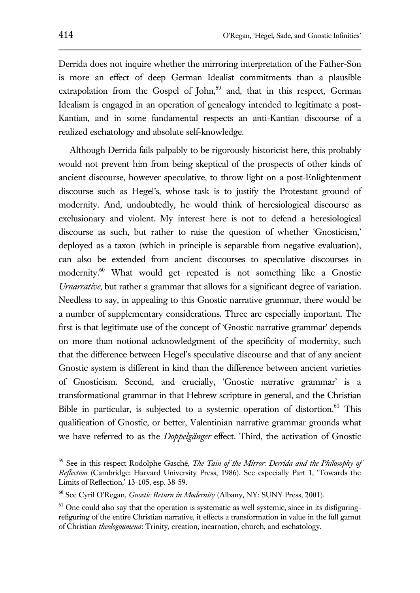Derrida does not inquire whether the mirroring interpretation of the Father-Son is more an effect of deep German Idealist commitments than a plausible extrapolation from the Gospel of John, $59$  and, that in this respect, German Idealism is engaged in an operation of genealogy intended to legitimate a post-Kantian, and in some fundamental respects an anti-Kantian discourse of a realized eschatology and absolute self-knowledge.

Although Derrida fails palpably to be rigorously historicist here, this probably would not prevent him from being skeptical of the prospects of other kinds of ancient discourse, however speculative, to throw light on a post-Enlightenment discourse such as Hegel's, whose task is to justify the Protestant ground of modernity. And, undoubtedly, he would think of heresiological discourse as exclusionary and violent. My interest here is not to defend a heresiological discourse as such, but rather to raise the question of whether 'Gnosticism,' deployed as a taxon (which in principle is separable from negative evaluation), can also be extended from ancient discourses to speculative discourses in modernity.<sup>60</sup> What would get repeated is not something like a Gnostic *Urnarrative*, but rather a grammar that allows for a significant degree of variation. Needless to say, in appealing to this Gnostic narrative grammar, there would be a number of supplementary considerations. Three are especially important. The first is that legitimate use of the concept of 'Gnostic narrative grammar' depends on more than notional acknowledgment of the specificity of modernity, such that the difference between Hegel's speculative discourse and that of any ancient Gnostic system is different in kind than the difference between ancient varieties of Gnosticism. Second, and crucially, 'Gnostic narrative grammar' is a transformational grammar in that Hebrew scripture in general, and the Christian Bible in particular, is subjected to a systemic operation of distortion.<sup>61</sup> This qualification of Gnostic, or better, Valentinian narrative grammar grounds what we have referred to as the *Doppelgänger* effect. Third, the activation of Gnostic

<sup>59</sup> See in this respect Rodolphe Gasché, *The Tain of the Mirror: Derrida and the Philosophy of Reflection* (Cambridge: Harvard University Press, 1986). See especially Part 1, 'Towards the Limits of Reflection,' 13-105, esp. 38-59.

<sup>60</sup> See Cyril O'Regan, *Gnostic Return in Modernity* (Albany, NY: SUNY Press, 2001).

 $61$  One could also say that the operation is systematic as well systemic, since in its disfiguringrefiguring of the entire Christian narrative, it effects a transformation in value in the full gamut of Christian *theologoumena*: Trinity, creation, incarnation, church, and eschatology.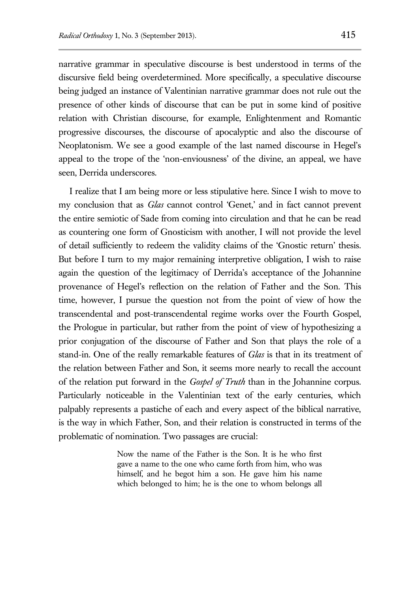narrative grammar in speculative discourse is best understood in terms of the discursive field being overdetermined. More specifically, a speculative discourse being judged an instance of Valentinian narrative grammar does not rule out the presence of other kinds of discourse that can be put in some kind of positive relation with Christian discourse, for example, Enlightenment and Romantic progressive discourses, the discourse of apocalyptic and also the discourse of Neoplatonism. We see a good example of the last named discourse in Hegel's appeal to the trope of the 'non-enviousness' of the divine, an appeal, we have seen, Derrida underscores.

I realize that I am being more or less stipulative here. Since I wish to move to my conclusion that as *Glas* cannot control 'Genet,' and in fact cannot prevent the entire semiotic of Sade from coming into circulation and that he can be read as countering one form of Gnosticism with another, I will not provide the level of detail sufficiently to redeem the validity claims of the 'Gnostic return' thesis. But before I turn to my major remaining interpretive obligation, I wish to raise again the question of the legitimacy of Derrida's acceptance of the Johannine provenance of Hegel's reflection on the relation of Father and the Son. This time, however, I pursue the question not from the point of view of how the transcendental and post-transcendental regime works over the Fourth Gospel, the Prologue in particular, but rather from the point of view of hypothesizing a prior conjugation of the discourse of Father and Son that plays the role of a stand-in. One of the really remarkable features of *Glas* is that in its treatment of the relation between Father and Son, it seems more nearly to recall the account of the relation put forward in the *Gospel of Truth* than in the Johannine corpus. Particularly noticeable in the Valentinian text of the early centuries, which palpably represents a pastiche of each and every aspect of the biblical narrative, is the way in which Father, Son, and their relation is constructed in terms of the problematic of nomination. Two passages are crucial:

> Now the name of the Father is the Son. It is he who first gave a name to the one who came forth from him, who was himself, and he begot him a son. He gave him his name which belonged to him; he is the one to whom belongs all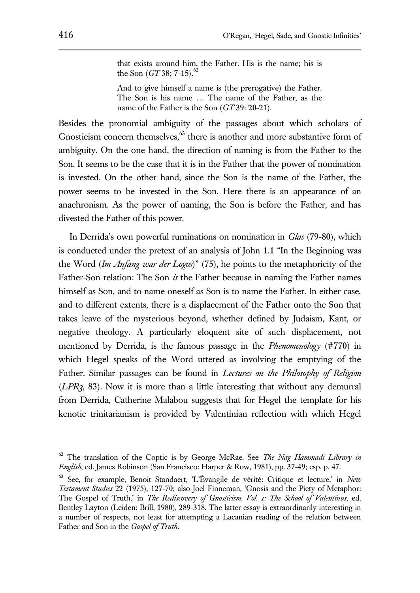that exists around him, the Father. His is the name; his is the Son (*GT* 38; 7-15). 62

And to give himself a name is (the prerogative) the Father. The Son is his name … The name of the Father, as the name of the Father is the Son (*GT* 39: 20-21).

Besides the pronomial ambiguity of the passages about which scholars of Gnosticism concern themselves, $63$  there is another and more substantive form of ambiguity. On the one hand, the direction of naming is from the Father to the Son. It seems to be the case that it is in the Father that the power of nomination is invested. On the other hand, since the Son is the name of the Father, the power seems to be invested in the Son. Here there is an appearance of an anachronism. As the power of naming, the Son is before the Father, and has divested the Father of this power.

In Derrida's own powerful ruminations on nomination in *Glas* (79-80), which is conducted under the pretext of an analysis of John 1.1 "In the Beginning was the Word (*Im Anfang war der Logos*)" (75), he points to the metaphoricity of the Father-Son relation: The Son *is* the Father because in naming the Father names himself as Son, and to name oneself as Son is to name the Father. In either case, and to different extents, there is a displacement of the Father onto the Son that takes leave of the mysterious beyond, whether defined by Judaism, Kant, or negative theology. A particularly eloquent site of such displacement, not mentioned by Derrida, is the famous passage in the *Phenomenology* (#770) in which Hegel speaks of the Word uttered as involving the emptying of the Father. Similar passages can be found in *Lectures on the Philosophy of Religion*  (*LPR3*, 83). Now it is more than a little interesting that without any demurral from Derrida, Catherine Malabou suggests that for Hegel the template for his kenotic trinitarianism is provided by Valentinian reflection with which Hegel

<sup>62</sup> The translation of the Coptic is by George McRae. See *The Nag Hammadi Library in English*, ed. James Robinson (San Francisco: Harper & Row, 1981), pp. 37-49; esp. p. 47.

<sup>63</sup> See, for example, Benoit Standaert, 'L'Évangile de vérité: Critique et lecture,' in *New Testament Studies* 22 (1975), 127-70; also Joel Finneman, 'Gnosis and the Piety of Metaphor: The Gospel of Truth,' in *The Rediscovery of Gnosticism. Vol. 1: The School of Valentinus*, ed. Bentley Layton (Leiden: Brill, 1980), 289-318. The latter essay is extraordinarily interesting in a number of respects, not least for attempting a Lacanian reading of the relation between Father and Son in the *Gospel of Truth*.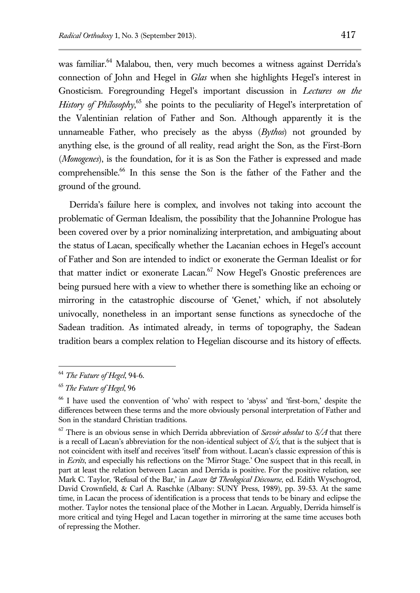was familiar.<sup>64</sup> Malabou, then, very much becomes a witness against Derrida's connection of John and Hegel in *Glas* when she highlights Hegel's interest in Gnosticism. Foregrounding Hegel's important discussion in *Lectures on the*  History of Philosophy,<sup>65</sup> she points to the peculiarity of Hegel's interpretation of the Valentinian relation of Father and Son. Although apparently it is the unnameable Father, who precisely as the abyss (*Bythos*) not grounded by anything else, is the ground of all reality, read aright the Son, as the First-Born (*Monogenes*), is the foundation, for it is as Son the Father is expressed and made comprehensible.<sup>66</sup> In this sense the Son is the father of the Father and the ground of the ground.

Derrida's failure here is complex, and involves not taking into account the problematic of German Idealism, the possibility that the Johannine Prologue has been covered over by a prior nominalizing interpretation, and ambiguating about the status of Lacan, specifically whether the Lacanian echoes in Hegel's account of Father and Son are intended to indict or exonerate the German Idealist or for that matter indict or exonerate Lacan.<sup>67</sup> Now Hegel's Gnostic preferences are being pursued here with a view to whether there is something like an echoing or mirroring in the catastrophic discourse of 'Genet,' which, if not absolutely univocally, nonetheless in an important sense functions as synecdoche of the Sadean tradition. As intimated already, in terms of topography, the Sadean tradition bears a complex relation to Hegelian discourse and its history of effects.

<sup>64</sup> *The Future of Hegel*, 94-6.

<sup>65</sup> *The Future of Hegel*, 96

<sup>66</sup> I have used the convention of 'who' with respect to 'abyss' and 'first-born,' despite the differences between these terms and the more obviously personal interpretation of Father and Son in the standard Christian traditions.

<sup>67</sup> There is an obvious sense in which Derrida abbreviation of *Savoir absolut* to *S/A* that there is a recall of Lacan's abbreviation for the non-identical subject of *S/s,* that is the subject that is not coincident with itself and receives 'itself' from without. Lacan's classic expression of this is in *Ecrits*, and especially his reflections on the 'Mirror Stage.' One suspect that in this recall, in part at least the relation between Lacan and Derrida is positive. For the positive relation, see Mark C. Taylor, 'Refusal of the Bar,' in *Lacan & Theological Discourse*, ed. Edith Wyschogrod, David Crownfield, & Carl A. Raschke (Albany: SUNY Press, 1989), pp. 39-53. At the same time, in Lacan the process of identification is a process that tends to be binary and eclipse the mother. Taylor notes the tensional place of the Mother in Lacan. Arguably, Derrida himself is more critical and tying Hegel and Lacan together in mirroring at the same time accuses both of repressing the Mother.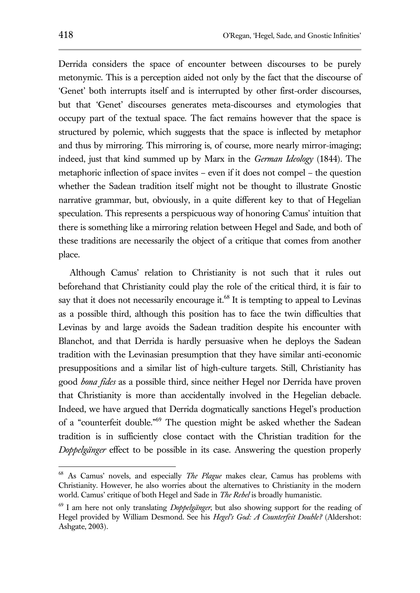Derrida considers the space of encounter between discourses to be purely metonymic. This is a perception aided not only by the fact that the discourse of 'Genet' both interrupts itself and is interrupted by other first-order discourses, but that 'Genet' discourses generates meta-discourses and etymologies that occupy part of the textual space. The fact remains however that the space is structured by polemic, which suggests that the space is inflected by metaphor and thus by mirroring. This mirroring is, of course, more nearly mirror-imaging; indeed, just that kind summed up by Marx in the *German Ideology* (1844). The metaphoric inflection of space invites – even if it does not compel – the question whether the Sadean tradition itself might not be thought to illustrate Gnostic narrative grammar, but, obviously, in a quite different key to that of Hegelian speculation. This represents a perspicuous way of honoring Camus' intuition that there is something like a mirroring relation between Hegel and Sade, and both of these traditions are necessarily the object of a critique that comes from another place.

Although Camus' relation to Christianity is not such that it rules out beforehand that Christianity could play the role of the critical third, it is fair to say that it does not necessarily encourage it. $68$  It is tempting to appeal to Levinas as a possible third, although this position has to face the twin difficulties that Levinas by and large avoids the Sadean tradition despite his encounter with Blanchot, and that Derrida is hardly persuasive when he deploys the Sadean tradition with the Levinasian presumption that they have similar anti-economic presuppositions and a similar list of high-culture targets. Still, Christianity has good *bona fides* as a possible third, since neither Hegel nor Derrida have proven that Christianity is more than accidentally involved in the Hegelian debacle. Indeed, we have argued that Derrida dogmatically sanctions Hegel's production of a "counterfeit double."<sup>69</sup> The question might be asked whether the Sadean tradition is in sufficiently close contact with the Christian tradition for the *Doppelgänger* effect to be possible in its case. Answering the question properly

<sup>68</sup> As Camus' novels, and especially *The Plague* makes clear, Camus has problems with Christianity. However, he also worries about the alternatives to Christianity in the modern world. Camus' critique of both Hegel and Sade in *The Rebel* is broadly humanistic.

<sup>69</sup> I am here not only translating *Doppelgänger*, but also showing support for the reading of Hegel provided by William Desmond. See his *Hegel's God: A Counterfeit Double?* (Aldershot: Ashgate, 2003).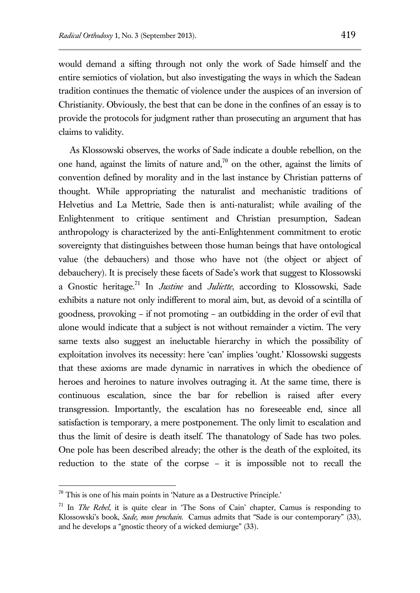would demand a sifting through not only the work of Sade himself and the entire semiotics of violation, but also investigating the ways in which the Sadean tradition continues the thematic of violence under the auspices of an inversion of Christianity. Obviously, the best that can be done in the confines of an essay is to provide the protocols for judgment rather than prosecuting an argument that has claims to validity.

As Klossowski observes, the works of Sade indicate a double rebellion, on the one hand, against the limits of nature and, $\frac{70}{10}$  on the other, against the limits of convention defined by morality and in the last instance by Christian patterns of thought. While appropriating the naturalist and mechanistic traditions of Helvetius and La Mettrie, Sade then is anti-naturalist; while availing of the Enlightenment to critique sentiment and Christian presumption, Sadean anthropology is characterized by the anti-Enlightenment commitment to erotic sovereignty that distinguishes between those human beings that have ontological value (the debauchers) and those who have not (the object or abject of debauchery). It is precisely these facets of Sade's work that suggest to Klossowski a Gnostic heritage.<sup>71</sup> In *Justine* and *Juliette*, according to Klossowski, Sade exhibits a nature not only indifferent to moral aim, but, as devoid of a scintilla of goodness, provoking – if not promoting – an outbidding in the order of evil that alone would indicate that a subject is not without remainder a victim. The very same texts also suggest an ineluctable hierarchy in which the possibility of exploitation involves its necessity: here 'can' implies 'ought.' Klossowski suggests that these axioms are made dynamic in narratives in which the obedience of heroes and heroines to nature involves outraging it. At the same time, there is continuous escalation, since the bar for rebellion is raised after every transgression. Importantly, the escalation has no foreseeable end, since all satisfaction is temporary, a mere postponement. The only limit to escalation and thus the limit of desire is death itself. The thanatology of Sade has two poles. One pole has been described already; the other is the death of the exploited, its reduction to the state of the corpse – it is impossible not to recall the

 $70$  This is one of his main points in 'Nature as a Destructive Principle.'

<sup>71</sup> In *The Rebel*, it is quite clear in 'The Sons of Cain' chapter, Camus is responding to Klossowski's book, *Sade, mon prochain*. Camus admits that "Sade is our contemporary" (33), and he develops a "gnostic theory of a wicked demiurge" (33).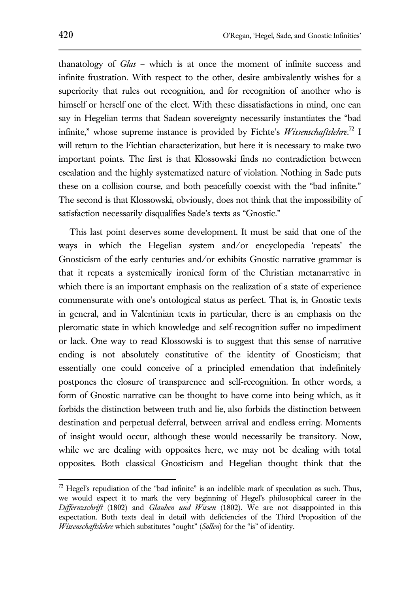thanatology of *Glas* – which is at once the moment of infinite success and infinite frustration. With respect to the other, desire ambivalently wishes for a superiority that rules out recognition, and for recognition of another who is himself or herself one of the elect. With these dissatisfactions in mind, one can say in Hegelian terms that Sadean sovereignty necessarily instantiates the "bad infinite," whose supreme instance is provided by Fichte's *Wissenschaftslehre*. <sup>72</sup> I will return to the Fichtian characterization, but here it is necessary to make two important points. The first is that Klossowski finds no contradiction between escalation and the highly systematized nature of violation. Nothing in Sade puts these on a collision course, and both peacefully coexist with the "bad infinite." The second is that Klossowski, obviously, does not think that the impossibility of satisfaction necessarily disqualifies Sade's texts as "Gnostic."

This last point deserves some development. It must be said that one of the ways in which the Hegelian system and/or encyclopedia 'repeats' the Gnosticism of the early centuries and/or exhibits Gnostic narrative grammar is that it repeats a systemically ironical form of the Christian metanarrative in which there is an important emphasis on the realization of a state of experience commensurate with one's ontological status as perfect. That is, in Gnostic texts in general, and in Valentinian texts in particular, there is an emphasis on the pleromatic state in which knowledge and self-recognition suffer no impediment or lack. One way to read Klossowski is to suggest that this sense of narrative ending is not absolutely constitutive of the identity of Gnosticism; that essentially one could conceive of a principled emendation that indefinitely postpones the closure of transparence and self-recognition. In other words, a form of Gnostic narrative can be thought to have come into being which, as it forbids the distinction between truth and lie, also forbids the distinction between destination and perpetual deferral, between arrival and endless erring. Moments of insight would occur, although these would necessarily be transitory. Now, while we are dealing with opposites here, we may not be dealing with total opposites. Both classical Gnosticism and Hegelian thought think that the

 $72$  Hegel's repudiation of the "bad infinite" is an indelible mark of speculation as such. Thus, we would expect it to mark the very beginning of Hegel's philosophical career in the *Differnzschrift* (1802) and *Glauben und Wissen* (1802). We are not disappointed in this expectation. Both texts deal in detail with deficiencies of the Third Proposition of the *Wissenschaftslehre* which substitutes "ought" (*Sollen*) for the "is" of identity.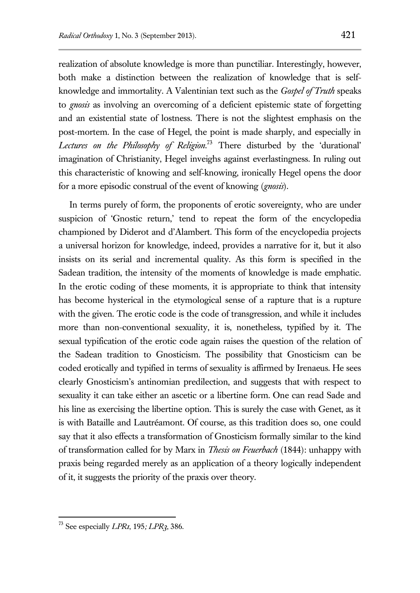realization of absolute knowledge is more than punctiliar. Interestingly, however, both make a distinction between the realization of knowledge that is selfknowledge and immortality. A Valentinian text such as the *Gospel of Truth* speaks to *gnosis* as involving an overcoming of a deficient epistemic state of forgetting and an existential state of lostness. There is not the slightest emphasis on the post-mortem. In the case of Hegel, the point is made sharply, and especially in *Lectures on the Philosophy of Religion*. <sup>73</sup> There disturbed by the 'durational' imagination of Christianity, Hegel inveighs against everlastingness. In ruling out this characteristic of knowing and self-knowing, ironically Hegel opens the door for a more episodic construal of the event of knowing (*gnosis*).

In terms purely of form, the proponents of erotic sovereignty, who are under suspicion of 'Gnostic return,' tend to repeat the form of the encyclopedia championed by Diderot and d'Alambert. This form of the encyclopedia projects a universal horizon for knowledge, indeed, provides a narrative for it, but it also insists on its serial and incremental quality. As this form is specified in the Sadean tradition, the intensity of the moments of knowledge is made emphatic. In the erotic coding of these moments, it is appropriate to think that intensity has become hysterical in the etymological sense of a rapture that is a rupture with the given. The erotic code is the code of transgression, and while it includes more than non-conventional sexuality, it is, nonetheless, typified by it. The sexual typification of the erotic code again raises the question of the relation of the Sadean tradition to Gnosticism. The possibility that Gnosticism can be coded erotically and typified in terms of sexuality is affirmed by Irenaeus. He sees clearly Gnosticism's antinomian predilection, and suggests that with respect to sexuality it can take either an ascetic or a libertine form. One can read Sade and his line as exercising the libertine option. This is surely the case with Genet, as it is with Bataille and Lautréamont. Of course, as this tradition does so, one could say that it also effects a transformation of Gnosticism formally similar to the kind of transformation called for by Marx in *Thesis on Feuerbach* (1844): unhappy with praxis being regarded merely as an application of a theory logically independent of it, it suggests the priority of the praxis over theory.

<sup>73</sup> See especially *LPR1*, 195*; LPR3*, 386.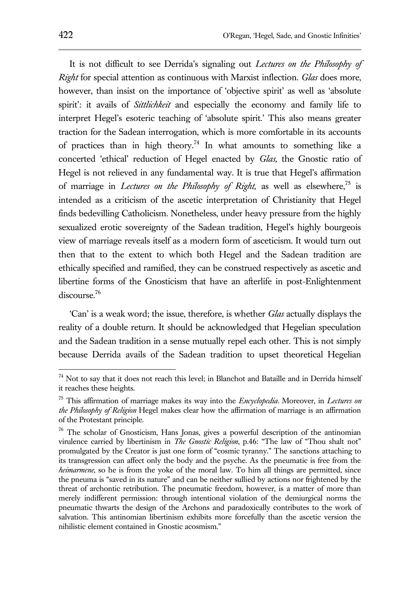It is not difficult to see Derrida's signaling out *Lectures on the Philosophy of Right* for special attention as continuous with Marxist inflection. *Glas* does more, however, than insist on the importance of 'objective spirit' as well as 'absolute spirit': it avails of *Sittlichkeit* and especially the economy and family life to interpret Hegel's esoteric teaching of 'absolute spirit.' This also means greater traction for the Sadean interrogation, which is more comfortable in its accounts of practices than in high theory.<sup>74</sup> In what amounts to something like a concerted 'ethical' reduction of Hegel enacted by *Glas,* the Gnostic ratio of Hegel is not relieved in any fundamental way. It is true that Hegel's affirmation of marriage in *Lectures on the Philosophy of Right*, as well as elsewhere,<sup>75</sup> is intended as a criticism of the ascetic interpretation of Christianity that Hegel finds bedevilling Catholicism. Nonetheless, under heavy pressure from the highly sexualized erotic sovereignty of the Sadean tradition, Hegel's highly bourgeois view of marriage reveals itself as a modern form of asceticism. It would turn out then that to the extent to which both Hegel and the Sadean tradition are ethically specified and ramified, they can be construed respectively as ascetic and libertine forms of the Gnosticism that have an afterlife in post-Enlightenment discourse.<sup>76</sup>

'Can' is a weak word; the issue, therefore, is whether *Glas* actually displays the reality of a double return. It should be acknowledged that Hegelian speculation and the Sadean tradition in a sense mutually repel each other. This is not simply because Derrida avails of the Sadean tradition to upset theoretical Hegelian

 $74$  Not to say that it does not reach this level; in Blanchot and Bataille and in Derrida himself it reaches these heights.

<sup>75</sup> This affirmation of marriage makes its way into the *Encyclopedia*. Moreover, in *Lectures on the Philosophy of Religion* Hegel makes clear how the affirmation of marriage is an affirmation of the Protestant principle.

<sup>&</sup>lt;sup>76</sup> The scholar of Gnosticism, Hans Jonas, gives a powerful description of the antinomian virulence carried by libertinism in *The Gnostic Religion*, p.46: "The law of "Thou shalt not" promulgated by the Creator is just one form of "cosmic tyranny." The sanctions attaching to its transgression can affect only the body and the psyche. As the pneumatic is free from the *heimarmene*, so he is from the yoke of the moral law. To him all things are permitted, since the pneuma is "saved in its nature" and can be neither sullied by actions nor frightened by the threat of archontic retribution. The pneumatic freedom, however, is a matter of more than merely indifferent permission: through intentional violation of the demiurgical norms the pneumatic thwarts the design of the Archons and paradoxically contributes to the work of salvation. This antinomian libertinism exhibits more forcefully than the ascetic version the nihilistic element contained in Gnostic acosmism."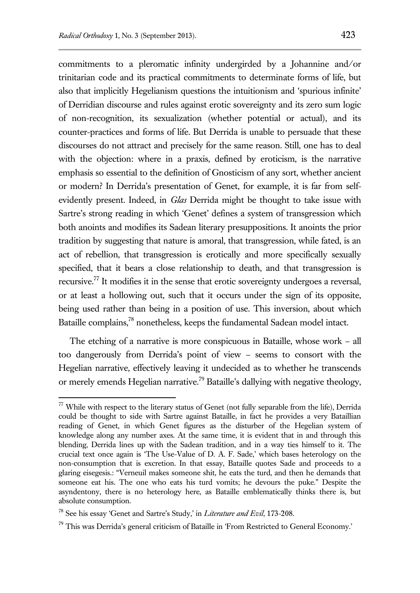commitments to a pleromatic infinity undergirded by a Johannine and/or trinitarian code and its practical commitments to determinate forms of life, but also that implicitly Hegelianism questions the intuitionism and 'spurious infinite' of Derridian discourse and rules against erotic sovereignty and its zero sum logic of non-recognition, its sexualization (whether potential or actual), and its counter-practices and forms of life. But Derrida is unable to persuade that these discourses do not attract and precisely for the same reason. Still, one has to deal with the objection: where in a praxis, defined by eroticism, is the narrative emphasis so essential to the definition of Gnosticism of any sort, whether ancient or modern? In Derrida's presentation of Genet, for example, it is far from selfevidently present. Indeed, in *Glas* Derrida might be thought to take issue with Sartre's strong reading in which 'Genet' defines a system of transgression which both anoints and modifies its Sadean literary presuppositions. It anoints the prior tradition by suggesting that nature is amoral, that transgression, while fated, is an act of rebellion, that transgression is erotically and more specifically sexually specified, that it bears a close relationship to death, and that transgression is recursive.<sup>77</sup> It modifies it in the sense that erotic sovereignty undergoes a reversal, or at least a hollowing out, such that it occurs under the sign of its opposite, being used rather than being in a position of use. This inversion, about which Bataille complains,<sup>78</sup> nonetheless, keeps the fundamental Sadean model intact.

The etching of a narrative is more conspicuous in Bataille, whose work – all too dangerously from Derrida's point of view – seems to consort with the Hegelian narrative, effectively leaving it undecided as to whether he transcends or merely emends Hegelian narrative.<sup>79</sup> Bataille's dallying with negative theology,

 $77$  While with respect to the literary status of Genet (not fully separable from the life), Derrida could be thought to side with Sartre against Bataille, in fact he provides a very Bataillian reading of Genet, in which Genet figures as the disturber of the Hegelian system of knowledge along any number axes. At the same time, it is evident that in and through this blending, Derrida lines up with the Sadean tradition, and in a way ties himself to it. The crucial text once again is 'The Use-Value of D. A. F. Sade,' which bases heterology on the non-consumption that is excretion. In that essay, Bataille quotes Sade and proceeds to a glaring eisegesis.: "Verneuil makes someone shit, he eats the turd, and then he demands that someone eat his. The one who eats his turd vomits; he devours the puke." Despite the asyndentony, there is no heterology here, as Bataille emblematically thinks there is, but absolute consumption.

<sup>78</sup> See his essay 'Genet and Sartre's Study,' in *Literature and Evil*, 173-208.

 $79$  This was Derrida's general criticism of Bataille in 'From Restricted to General Economy.'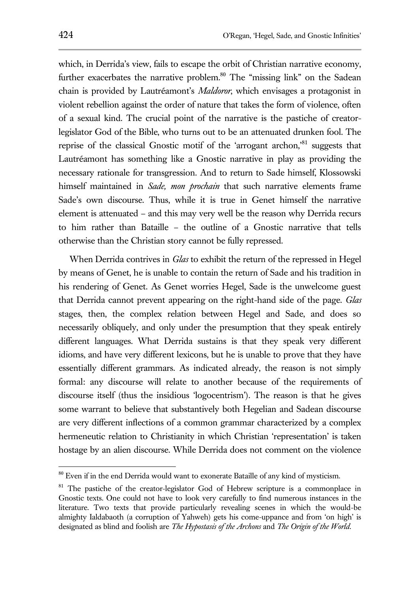which, in Derrida's view, fails to escape the orbit of Christian narrative economy, further exacerbates the narrative problem.<sup>80</sup> The "missing link" on the Sadean chain is provided by Lautréamont's *Maldoror*, which envisages a protagonist in violent rebellion against the order of nature that takes the form of violence, often of a sexual kind. The crucial point of the narrative is the pastiche of creatorlegislator God of the Bible, who turns out to be an attenuated drunken fool. The reprise of the classical Gnostic motif of the 'arrogant archon, $^{81}$  suggests that Lautréamont has something like a Gnostic narrative in play as providing the necessary rationale for transgression. And to return to Sade himself, Klossowski himself maintained in *Sade, mon prochain* that such narrative elements frame Sade's own discourse. Thus, while it is true in Genet himself the narrative element is attenuated – and this may very well be the reason why Derrida recurs to him rather than Bataille – the outline of a Gnostic narrative that tells otherwise than the Christian story cannot be fully repressed.

When Derrida contrives in *Glas* to exhibit the return of the repressed in Hegel by means of Genet, he is unable to contain the return of Sade and his tradition in his rendering of Genet. As Genet worries Hegel, Sade is the unwelcome guest that Derrida cannot prevent appearing on the right-hand side of the page. *Glas* stages, then, the complex relation between Hegel and Sade, and does so necessarily obliquely, and only under the presumption that they speak entirely different languages. What Derrida sustains is that they speak very different idioms, and have very different lexicons, but he is unable to prove that they have essentially different grammars. As indicated already, the reason is not simply formal: any discourse will relate to another because of the requirements of discourse itself (thus the insidious 'logocentrism'). The reason is that he gives some warrant to believe that substantively both Hegelian and Sadean discourse are very different inflections of a common grammar characterized by a complex hermeneutic relation to Christianity in which Christian 'representation' is taken hostage by an alien discourse. While Derrida does not comment on the violence

<sup>&</sup>lt;sup>80</sup> Even if in the end Derrida would want to exonerate Bataille of any kind of mysticism.

<sup>&</sup>lt;sup>81</sup> The pastiche of the creator-legislator God of Hebrew scripture is a commonplace in Gnostic texts. One could not have to look very carefully to find numerous instances in the literature. Two texts that provide particularly revealing scenes in which the would-be almighty Ialdabaoth (a corruption of Yahweh) gets his come-uppance and from 'on high' is designated as blind and foolish are *The Hypostasis of the Archons* and *The Origin of the World*.